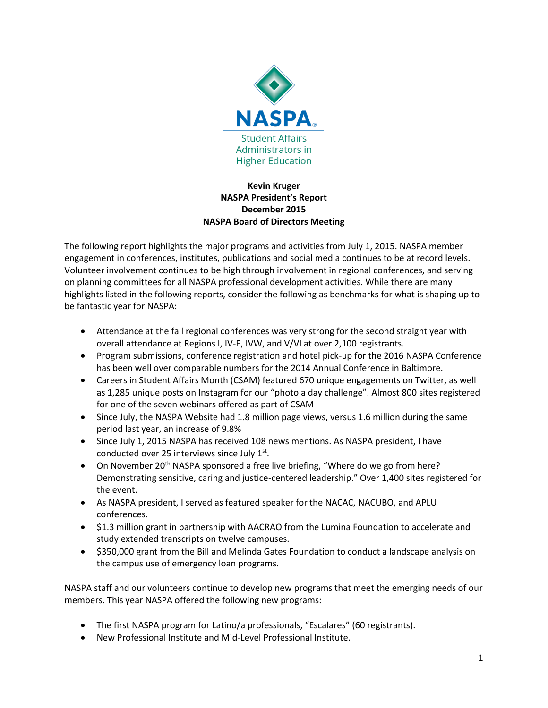

### **Kevin Kruger NASPA President's Report December 2015 NASPA Board of Directors Meeting**

The following report highlights the major programs and activities from July 1, 2015. NASPA member engagement in conferences, institutes, publications and social media continues to be at record levels. Volunteer involvement continues to be high through involvement in regional conferences, and serving on planning committees for all NASPA professional development activities. While there are many highlights listed in the following reports, consider the following as benchmarks for what is shaping up to be fantastic year for NASPA:

- Attendance at the fall regional conferences was very strong for the second straight year with overall attendance at Regions I, IV-E, IVW, and V/VI at over 2,100 registrants.
- Program submissions, conference registration and hotel pick-up for the 2016 NASPA Conference has been well over comparable numbers for the 2014 Annual Conference in Baltimore.
- Careers in Student Affairs Month (CSAM) featured 670 unique engagements on Twitter, as well as 1,285 unique posts on Instagram for our "photo a day challenge". Almost 800 sites registered for one of the seven webinars offered as part of CSAM
- Since July, the NASPA Website had 1.8 million page views, versus 1.6 million during the same period last year, an increase of 9.8%
- Since July 1, 2015 NASPA has received 108 news mentions. As NASPA president, I have conducted over 25 interviews since July  $1<sup>st</sup>$ .
- On November 20<sup>th</sup> NASPA sponsored a free live briefing, "Where do we go from here? Demonstrating sensitive, caring and justice-centered leadership." Over 1,400 sites registered for the event.
- As NASPA president, I served as featured speaker for the NACAC, NACUBO, and APLU conferences.
- \$1.3 million grant in partnership with AACRAO from the Lumina Foundation to accelerate and study extended transcripts on twelve campuses.
- \$350,000 grant from the Bill and Melinda Gates Foundation to conduct a landscape analysis on the campus use of emergency loan programs.

NASPA staff and our volunteers continue to develop new programs that meet the emerging needs of our members. This year NASPA offered the following new programs:

- The first NASPA program for Latino/a professionals, "Escalares" (60 registrants).
- New Professional Institute and Mid-Level Professional Institute.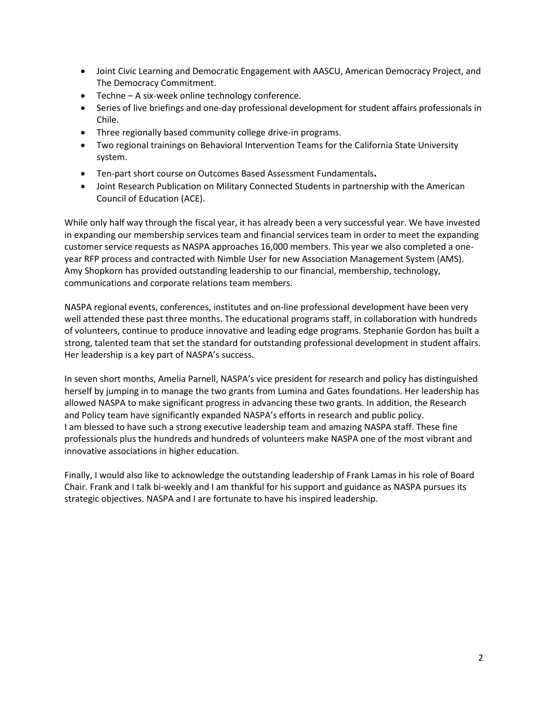- Joint Civic Learning and Democratic Engagement with AASCU, American Democracy Project, and The Democracy Commitment.
- Techne A six-week online technology conference.
- Series of live briefings and one-day professional development for student affairs professionals in Chile.
- Three regionally based community college drive-in programs.
- Two regional trainings on Behavioral Intervention Teams for the California State University system.
- Ten-part short course on Outcomes Based Assessment Fundamentals.
- Joint Research Publication on Military Connected Students in partnership with the American Council of Education (ACE).

While only half way through the fiscal year, it has already been a very successful year. We have invested in expanding our membership services team and financial services team in order to meet the expanding customer service requests as NASPA approaches 16,000 members. This year we also completed a oneyear RFP process and contracted with Nimble User for new Association Management System (AMS). Amy Shopkorn has provided outstanding leadership to our financial, membership, technology, communications and corporate relations team members.

NASPA regional events, conferences, institutes and on-line professional development have been very well attended these past three months. The educational programs staff, in collaboration with hundreds of volunteers, continue to produce innovative and leading edge programs. Stephanie Gordon has built a strong, talented team that set the standard for outstanding professional development in student affairs. Her leadership is a key part of NASPA's success.

In seven short months, Amelia Parnell, NASPA's vice president for research and policy has distinguished herself by jumping in to manage the two grants from Lumina and Gates foundations. Her leadership has allowed NASPA to make significant progress in advancing these two grants. In addition, the Research and Policy team have significantly expanded NASPA's efforts in research and public policy. I am blessed to have such a strong executive leadership team and amazing NASPA staff. These fine professionals plus the hundreds and hundreds of volunteers make NASPA one of the most vibrant and innovative associations in higher education.

Finally, I would also like to acknowledge the outstanding leadership of Frank Lamas in his role of Board Chair. Frank and I talk bi-weekly and I am thankful for his support and guidance as NASPA pursues its strategic objectives. NASPA and I are fortunate to have his inspired leadership.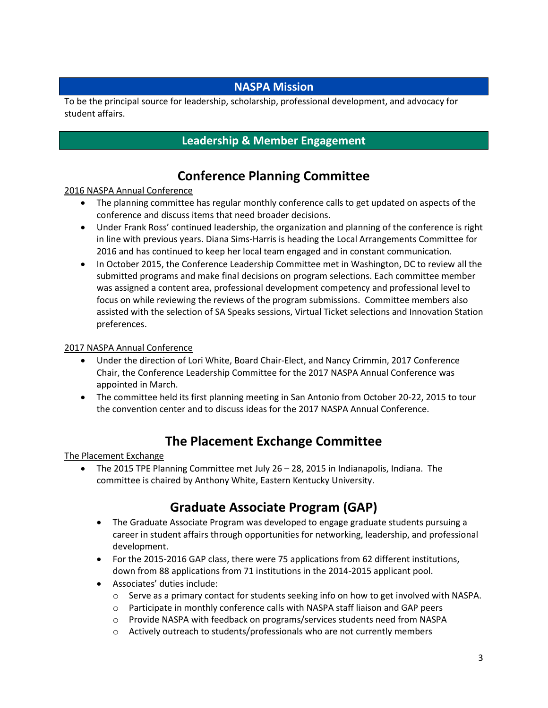### **NASPA Mission**

To be the principal source for leadership, scholarship, professional development, and advocacy for student affairs.

### **Leadership & Member Engagement**

## **Conference Planning Committee**

### 2016 NASPA Annual Conference

- The planning committee has regular monthly conference calls to get updated on aspects of the conference and discuss items that need broader decisions.
- Under Frank Ross' continued leadership, the organization and planning of the conference is right in line with previous years. Diana Sims-Harris is heading the Local Arrangements Committee for 2016 and has continued to keep her local team engaged and in constant communication.
- In October 2015, the Conference Leadership Committee met in Washington, DC to review all the submitted programs and make final decisions on program selections. Each committee member was assigned a content area, professional development competency and professional level to focus on while reviewing the reviews of the program submissions. Committee members also assisted with the selection of SA Speaks sessions, Virtual Ticket selections and Innovation Station preferences.

### 2017 NASPA Annual Conference

- Under the direction of Lori White, Board Chair-Elect, and Nancy Crimmin, 2017 Conference Chair, the Conference Leadership Committee for the 2017 NASPA Annual Conference was appointed in March.
- The committee held its first planning meeting in San Antonio from October 20-22, 2015 to tour the convention center and to discuss ideas for the 2017 NASPA Annual Conference.

## **The Placement Exchange Committee**

### The Placement Exchange

• The 2015 TPE Planning Committee met July 26 – 28, 2015 in Indianapolis, Indiana. The committee is chaired by Anthony White, Eastern Kentucky University.

## **Graduate Associate Program (GAP)**

- The Graduate Associate Program was developed to engage graduate students pursuing a career in student affairs through opportunities for networking, leadership, and professional development.
- For the 2015-2016 GAP class, there were 75 applications from 62 different institutions, down from 88 applications from 71 institutions in the 2014-2015 applicant pool.
- Associates' duties include:
	- $\circ$  Serve as a primary contact for students seeking info on how to get involved with NASPA.
	- o Participate in monthly conference calls with NASPA staff liaison and GAP peers
	- o Provide NASPA with feedback on programs/services students need from NASPA
	- $\circ$  Actively outreach to students/professionals who are not currently members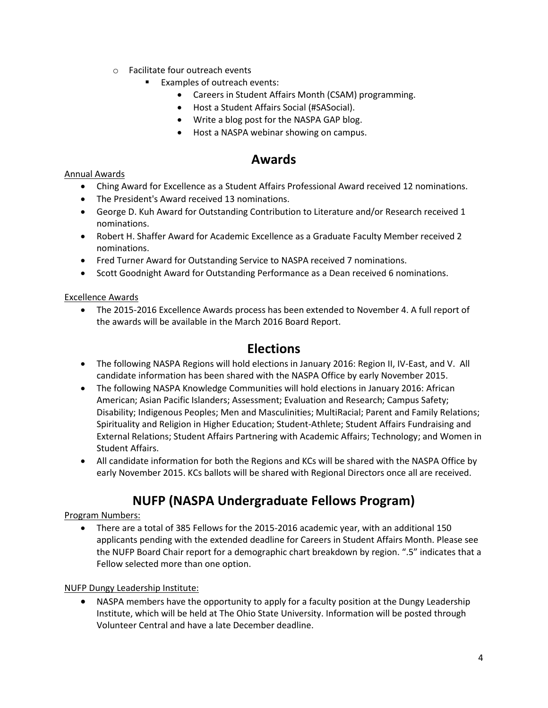- o Facilitate four outreach events
	- Examples of outreach events:
		- Careers in Student Affairs Month (CSAM) programming.
		- Host a Student Affairs Social (#SASocial).
		- Write a blog post for the NASPA GAP blog.
		- Host a NASPA webinar showing on campus.

### **Awards**

#### Annual Awards

- Ching Award for Excellence as a Student Affairs Professional Award received 12 nominations.
- The President's Award received 13 nominations.
- George D. Kuh Award for Outstanding Contribution to Literature and/or Research received 1 nominations.
- Robert H. Shaffer Award for Academic Excellence as a Graduate Faculty Member received 2 nominations.
- Fred Turner Award for Outstanding Service to NASPA received 7 nominations.
- Scott Goodnight Award for Outstanding Performance as a Dean received 6 nominations.

#### Excellence Awards

 The 2015-2016 Excellence Awards process has been extended to November 4. A full report of the awards will be available in the March 2016 Board Report.

### **Elections**

- The following NASPA Regions will hold elections in January 2016: Region II, IV-East, and V. All candidate information has been shared with the NASPA Office by early November 2015.
- The following NASPA Knowledge Communities will hold elections in January 2016: African American; Asian Pacific Islanders; Assessment; Evaluation and Research; Campus Safety; Disability; Indigenous Peoples; Men and Masculinities; MultiRacial; Parent and Family Relations; Spirituality and Religion in Higher Education; Student-Athlete; Student Affairs Fundraising and External Relations; Student Affairs Partnering with Academic Affairs; Technology; and Women in Student Affairs.
- All candidate information for both the Regions and KCs will be shared with the NASPA Office by early November 2015. KCs ballots will be shared with Regional Directors once all are received.

## **NUFP (NASPA Undergraduate Fellows Program)**

### Program Numbers:

 There are a total of 385 Fellows for the 2015-2016 academic year, with an additional 150 applicants pending with the extended deadline for Careers in Student Affairs Month. Please see the NUFP Board Chair report for a demographic chart breakdown by region. ".5" indicates that a Fellow selected more than one option.

#### NUFP Dungy Leadership Institute:

 NASPA members have the opportunity to apply for a faculty position at the Dungy Leadership Institute, which will be held at The Ohio State University. Information will be posted through Volunteer Central and have a late December deadline.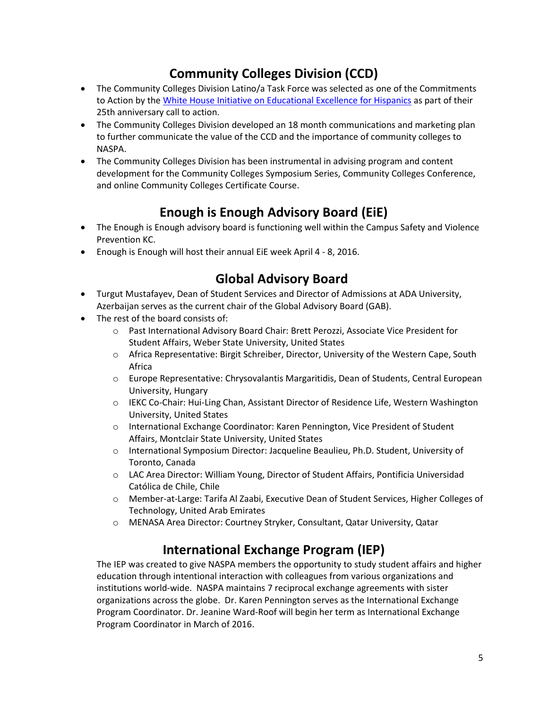# **Community Colleges Division (CCD)**

- The Community Colleges Division Latino/a Task Force was selected as one of the Commitments to Action by the [White House Initiative on Educational Excellence for Hispanics](http://sites.ed.gov/hispanic-initiative/) as part of their 25th anniversary call to action.
- The Community Colleges Division developed an 18 month communications and marketing plan to further communicate the value of the CCD and the importance of community colleges to NASPA.
- The Community Colleges Division has been instrumental in advising program and content development for the Community Colleges Symposium Series, Community Colleges Conference, and online Community Colleges Certificate Course.

# **Enough is Enough Advisory Board (EiE)**

- The Enough is Enough advisory board is functioning well within the Campus Safety and Violence Prevention KC.
- Enough is Enough will host their annual EiE week April 4 8, 2016.

## **Global Advisory Board**

- Turgut Mustafayev, Dean of Student Services and Director of Admissions at ADA University, Azerbaijan serves as the current chair of the Global Advisory Board (GAB).
- The rest of the board consists of:
	- o Past International Advisory Board Chair: Brett Perozzi, Associate Vice President for Student Affairs, Weber State University, United States
	- o Africa Representative: Birgit Schreiber, Director, University of the Western Cape, South Africa
	- o Europe Representative: Chrysovalantis Margaritidis, Dean of Students, Central European University, Hungary
	- o IEKC Co-Chair: Hui-Ling Chan, Assistant Director of Residence Life, Western Washington University, United States
	- o International Exchange Coordinator: Karen Pennington, Vice President of Student Affairs, Montclair State University, United States
	- o International Symposium Director: Jacqueline Beaulieu, Ph.D. Student, University of Toronto, Canada
	- o LAC Area Director: William Young, Director of Student Affairs, Pontificia Universidad Católica de Chile, Chile
	- o Member-at-Large: Tarifa Al Zaabi, Executive Dean of Student Services, Higher Colleges of Technology, United Arab Emirates
	- o MENASA Area Director: Courtney Stryker, Consultant, Qatar University, Qatar

## **International Exchange Program (IEP)**

The IEP was created to give NASPA members the opportunity to study student affairs and higher education through intentional interaction with colleagues from various organizations and institutions world-wide. NASPA maintains 7 reciprocal exchange agreements with sister organizations across the globe. Dr. Karen Pennington serves as the International Exchange Program Coordinator. Dr. Jeanine Ward-Roof will begin her term as International Exchange Program Coordinator in March of 2016.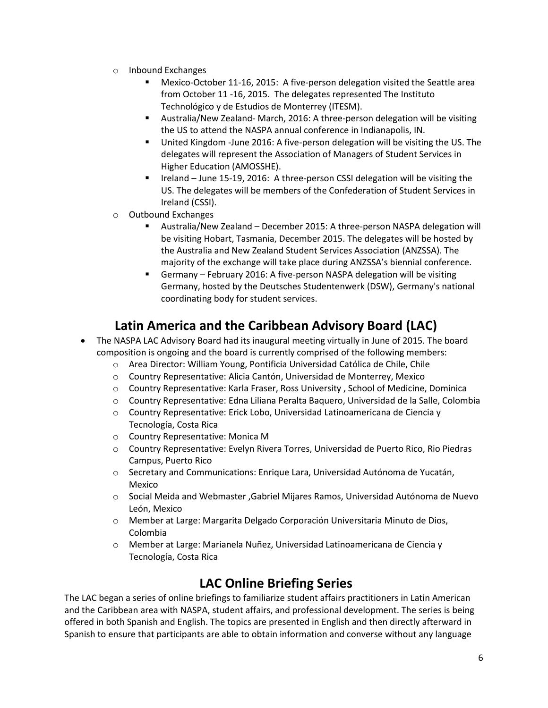- o Inbound Exchanges
	- Mexico-October 11-16, 2015: A five-person delegation visited the Seattle area from October 11 -16, 2015. The delegates represented The Instituto Technológico y de Estudios de Monterrey (ITESM).
	- Australia/New Zealand- March, 2016: A three-person delegation will be visiting the US to attend the NASPA annual conference in Indianapolis, IN.
	- United Kingdom -June 2016: A five-person delegation will be visiting the US. The delegates will represent the Association of Managers of Student Services in Higher Education (AMOSSHE).
	- Ireland June 15-19, 2016: A three-person CSSI delegation will be visiting the US. The delegates will be members of the Confederation of Student Services in Ireland (CSSI).
- o Outbound Exchanges
	- Australia/New Zealand December 2015: A three-person NASPA delegation will be visiting Hobart, Tasmania, December 2015. The delegates will be hosted by the Australia and New Zealand Student Services Association (ANZSSA). The majority of the exchange will take place during ANZSSA's biennial conference.
	- Germany February 2016: A five-person NASPA delegation will be visiting Germany, hosted by the Deutsches Studentenwerk (DSW), Germany's national coordinating body for student services.

## **Latin America and the Caribbean Advisory Board (LAC)**

- The NASPA LAC Advisory Board had its inaugural meeting virtually in June of 2015. The board composition is ongoing and the board is currently comprised of the following members:
	- o Area Director: William Young, Pontificia Universidad Católica de Chile, Chile
	- o Country Representative: Alicia Cantón, Universidad de Monterrey, Mexico
	- o Country Representative: Karla Fraser, Ross University , School of Medicine, Dominica
	- o Country Representative: Edna Liliana Peralta Baquero, Universidad de la Salle, Colombia
	- o Country Representative: Erick Lobo, Universidad Latinoamericana de Ciencia y Tecnología, Costa Rica
	- o Country Representative: Monica M
	- o Country Representative: Evelyn Rivera Torres, Universidad de Puerto Rico, Rio Piedras Campus, Puerto Rico
	- o Secretary and Communications: Enrique Lara, Universidad Autónoma de Yucatán, Mexico
	- o Social Meida and Webmaster ,Gabriel Mijares Ramos, Universidad Autónoma de Nuevo León, Mexico
	- o Member at Large: Margarita Delgado Corporación Universitaria Minuto de Dios, Colombia
	- o Member at Large: Marianela Nuñez, Universidad Latinoamericana de Ciencia y Tecnología, Costa Rica

## **LAC Online Briefing Series**

The LAC began a series of online briefings to familiarize student affairs practitioners in Latin American and the Caribbean area with NASPA, student affairs, and professional development. The series is being offered in both Spanish and English. The topics are presented in English and then directly afterward in Spanish to ensure that participants are able to obtain information and converse without any language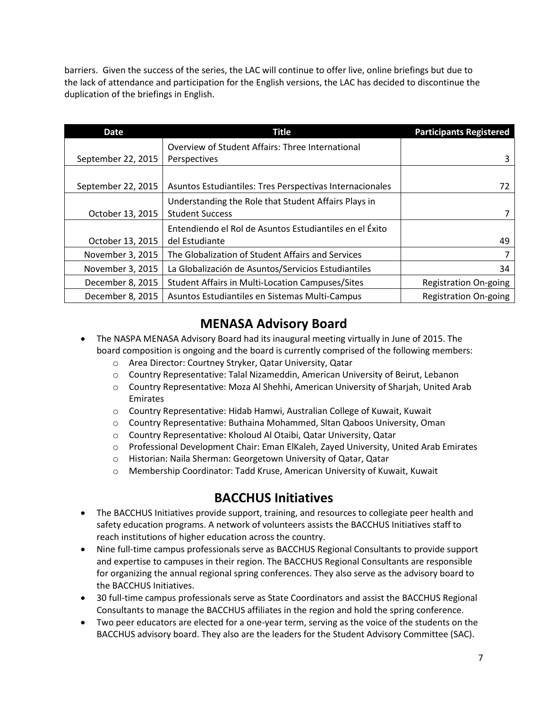barriers. Given the success of the series, the LAC will continue to offer live, online briefings but due to the lack of attendance and participation for the English versions, the LAC has decided to discontinue the duplication of the briefings in English.

| <b>Date</b>        | <b>Title</b>                                             | <b>Participants Registered</b> |
|--------------------|----------------------------------------------------------|--------------------------------|
|                    | Overview of Student Affairs: Three International         |                                |
| September 22, 2015 | Perspectives                                             | 3                              |
|                    |                                                          |                                |
| September 22, 2015 | Asuntos Estudiantiles: Tres Perspectivas Internacionales | 72                             |
|                    | Understanding the Role that Student Affairs Plays in     |                                |
| October 13, 2015   | <b>Student Success</b>                                   |                                |
|                    | Entendiendo el Rol de Asuntos Estudiantiles en el Éxito  |                                |
| October 13, 2015   | del Estudiante                                           | 49                             |
| November 3, 2015   | The Globalization of Student Affairs and Services        | 7                              |
| November 3, 2015   | La Globalización de Asuntos/Servicios Estudiantiles      | 34                             |
| December 8, 2015   | <b>Student Affairs in Multi-Location Campuses/Sites</b>  | <b>Registration On-going</b>   |
| December 8, 2015   | Asuntos Estudiantiles en Sistemas Multi-Campus           | <b>Registration On-going</b>   |

## **MENASA Advisory Board**

- The NASPA MENASA Advisory Board had its inaugural meeting virtually in June of 2015. The board composition is ongoing and the board is currently comprised of the following members:
	- o Area Director: Courtney Stryker, Qatar University, Qatar
	- o Country Representative: Talal Nizameddin, American University of Beirut, Lebanon
	- o Country Representative: Moza Al Shehhi, American University of Sharjah, United Arab Emirates
	- o Country Representative: Hidab Hamwi, Australian College of Kuwait, Kuwait
	- o Country Representative: Buthaina Mohammed, Sltan Qaboos University, Oman
	- o Country Representative: Kholoud Al Otaibi, Qatar University, Qatar
	- o Professional Development Chair: Eman ElKaleh, Zayed University, United Arab Emirates
	- o Historian: Naila Sherman: Georgetown University of Qatar, Qatar
	- o Membership Coordinator: Tadd Kruse, American University of Kuwait, Kuwait

## **BACCHUS Initiatives**

- The BACCHUS Initiatives provide support, training, and resources to collegiate peer health and safety education programs. A network of volunteers assists the BACCHUS Initiatives staff to reach institutions of higher education across the country.
- Nine full-time campus professionals serve as BACCHUS Regional Consultants to provide support and expertise to campuses in their region. The BACCHUS Regional Consultants are responsible for organizing the annual regional spring conferences. They also serve as the advisory board to the BACCHUS Initiatives.
- 30 full-time campus professionals serve as State Coordinators and assist the BACCHUS Regional Consultants to manage the BACCHUS affiliates in the region and hold the spring conference.
- Two peer educators are elected for a one-year term, serving as the voice of the students on the BACCHUS advisory board. They also are the leaders for the Student Advisory Committee (SAC).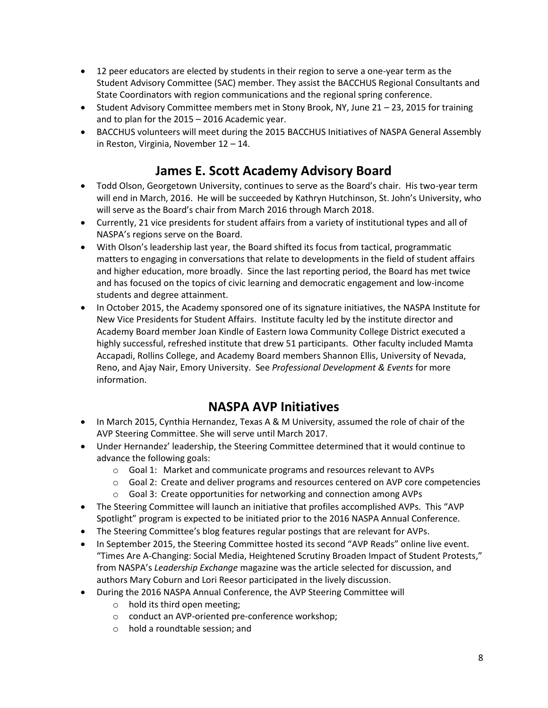- 12 peer educators are elected by students in their region to serve a one-year term as the Student Advisory Committee (SAC) member. They assist the BACCHUS Regional Consultants and State Coordinators with region communications and the regional spring conference.
- **Student Advisory Committee members met in Stony Brook, NY, June 21 23, 2015 for training** and to plan for the 2015 – 2016 Academic year.
- BACCHUS volunteers will meet during the 2015 BACCHUS Initiatives of NASPA General Assembly in Reston, Virginia, November 12 – 14.

## **James E. Scott Academy Advisory Board**

- Todd Olson, Georgetown University, continues to serve as the Board's chair. His two-year term will end in March, 2016. He will be succeeded by Kathryn Hutchinson, St. John's University, who will serve as the Board's chair from March 2016 through March 2018.
- Currently, 21 vice presidents for student affairs from a variety of institutional types and all of NASPA's regions serve on the Board.
- With Olson's leadership last year, the Board shifted its focus from tactical, programmatic matters to engaging in conversations that relate to developments in the field of student affairs and higher education, more broadly. Since the last reporting period, the Board has met twice and has focused on the topics of civic learning and democratic engagement and low-income students and degree attainment.
- In October 2015, the Academy sponsored one of its signature initiatives, the NASPA Institute for New Vice Presidents for Student Affairs. Institute faculty led by the institute director and Academy Board member Joan Kindle of Eastern Iowa Community College District executed a highly successful, refreshed institute that drew 51 participants. Other faculty included Mamta Accapadi, Rollins College, and Academy Board members Shannon Ellis, University of Nevada, Reno, and Ajay Nair, Emory University. See *Professional Development & Events* for more information.

## **NASPA AVP Initiatives**

- In March 2015, Cynthia Hernandez, Texas A & M University, assumed the role of chair of the AVP Steering Committee. She will serve until March 2017.
- Under Hernandez' leadership, the Steering Committee determined that it would continue to advance the following goals:
	- o Goal 1: Market and communicate programs and resources relevant to AVPs
	- o Goal 2: Create and deliver programs and resources centered on AVP core competencies
	- o Goal 3: Create opportunities for networking and connection among AVPs
- The Steering Committee will launch an initiative that profiles accomplished AVPs. This "AVP Spotlight" program is expected to be initiated prior to the 2016 NASPA Annual Conference.
- The Steering Committee's blog features regular postings that are relevant for AVPs.
- In September 2015, the Steering Committee hosted its second "AVP Reads" online live event. "Times Are A-Changing: Social Media, Heightened Scrutiny Broaden Impact of Student Protests," from NASPA's *Leadership Exchange* magazine was the article selected for discussion, and authors Mary Coburn and Lori Reesor participated in the lively discussion.
- During the 2016 NASPA Annual Conference, the AVP Steering Committee will
	- o hold its third open meeting;
	- o conduct an AVP-oriented pre-conference workshop;
	- o hold a roundtable session; and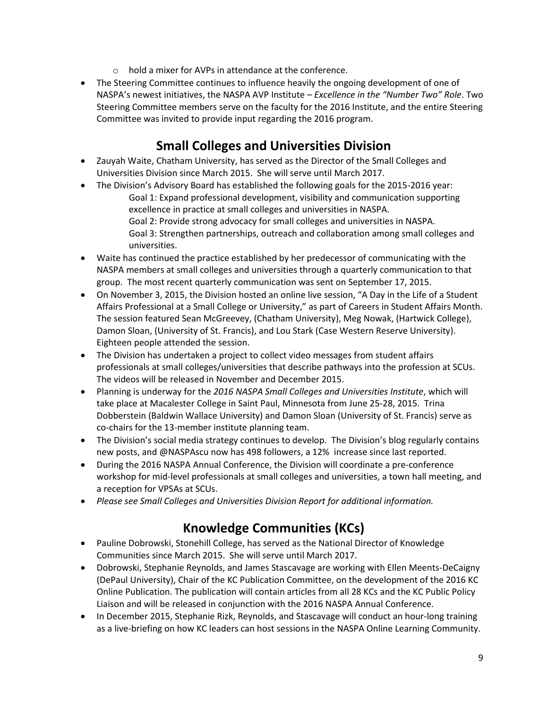- o hold a mixer for AVPs in attendance at the conference.
- The Steering Committee continues to influence heavily the ongoing development of one of NASPA's newest initiatives, the NASPA AVP Institute – *Excellence in the "Number Two" Role*. Two Steering Committee members serve on the faculty for the 2016 Institute, and the entire Steering Committee was invited to provide input regarding the 2016 program.

## **Small Colleges and Universities Division**

- Zauyah Waite, Chatham University, has served as the Director of the Small Colleges and Universities Division since March 2015. She will serve until March 2017.
- The Division's Advisory Board has established the following goals for the 2015-2016 year: Goal 1: Expand professional development, visibility and communication supporting excellence in practice at small colleges and universities in NASPA. Goal 2: Provide strong advocacy for small colleges and universities in NASPA. Goal 3: Strengthen partnerships, outreach and collaboration among small colleges and universities.
- Waite has continued the practice established by her predecessor of communicating with the NASPA members at small colleges and universities through a quarterly communication to that group. The most recent quarterly communication was sent on September 17, 2015.
- On November 3, 2015, the Division hosted an online live session, "A Day in the Life of a Student Affairs Professional at a Small College or University," as part of Careers in Student Affairs Month. The session featured Sean McGreevey, (Chatham University), Meg Nowak, (Hartwick College), Damon Sloan, (University of St. Francis), and Lou Stark (Case Western Reserve University). Eighteen people attended the session.
- The Division has undertaken a project to collect video messages from student affairs professionals at small colleges/universities that describe pathways into the profession at SCUs. The videos will be released in November and December 2015.
- Planning is underway for the *2016 NASPA Small Colleges and Universities Institute*, which will take place at Macalester College in Saint Paul, Minnesota from June 25-28, 2015. Trina Dobberstein (Baldwin Wallace University) and Damon Sloan (University of St. Francis) serve as co-chairs for the 13-member institute planning team.
- The Division's social media strategy continues to develop. The Division's blog regularly contains new posts, and @NASPAscu now has 498 followers, a 12% increase since last reported.
- During the 2016 NASPA Annual Conference, the Division will coordinate a pre-conference workshop for mid-level professionals at small colleges and universities, a town hall meeting, and a reception for VPSAs at SCUs.
- *Please see Small Colleges and Universities Division Report for additional information.*

# **Knowledge Communities (KCs)**

- Pauline Dobrowski, Stonehill College, has served as the National Director of Knowledge Communities since March 2015. She will serve until March 2017.
- Dobrowski, Stephanie Reynolds, and James Stascavage are working with Ellen Meents-DeCaigny (DePaul University), Chair of the KC Publication Committee, on the development of the 2016 KC Online Publication. The publication will contain articles from all 28 KCs and the KC Public Policy Liaison and will be released in conjunction with the 2016 NASPA Annual Conference.
- In December 2015, Stephanie Rizk, Reynolds, and Stascavage will conduct an hour-long training as a live-briefing on how KC leaders can host sessions in the NASPA Online Learning Community.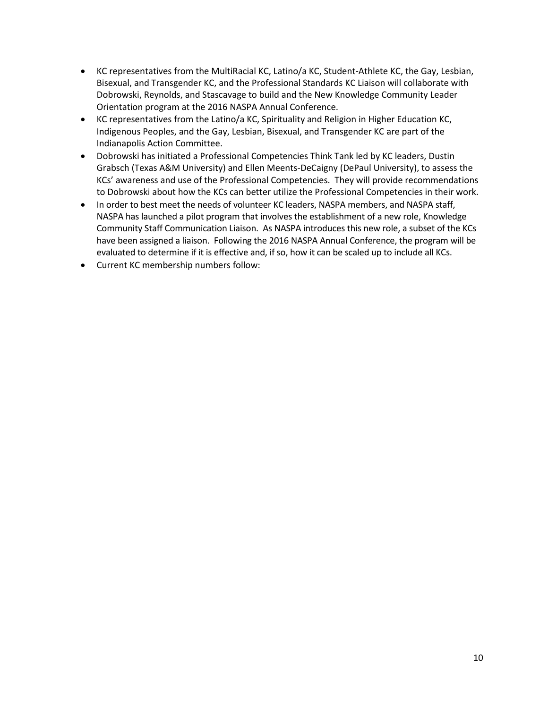- KC representatives from the MultiRacial KC, Latino/a KC, Student-Athlete KC, the Gay, Lesbian, Bisexual, and Transgender KC, and the Professional Standards KC Liaison will collaborate with Dobrowski, Reynolds, and Stascavage to build and the New Knowledge Community Leader Orientation program at the 2016 NASPA Annual Conference.
- KC representatives from the Latino/a KC, Spirituality and Religion in Higher Education KC, Indigenous Peoples, and the Gay, Lesbian, Bisexual, and Transgender KC are part of the Indianapolis Action Committee.
- Dobrowski has initiated a Professional Competencies Think Tank led by KC leaders, Dustin Grabsch (Texas A&M University) and Ellen Meents-DeCaigny (DePaul University), to assess the KCs' awareness and use of the Professional Competencies. They will provide recommendations to Dobrowski about how the KCs can better utilize the Professional Competencies in their work.
- In order to best meet the needs of volunteer KC leaders, NASPA members, and NASPA staff, NASPA has launched a pilot program that involves the establishment of a new role, Knowledge Community Staff Communication Liaison. As NASPA introduces this new role, a subset of the KCs have been assigned a liaison. Following the 2016 NASPA Annual Conference, the program will be evaluated to determine if it is effective and, if so, how it can be scaled up to include all KCs.
- Current KC membership numbers follow: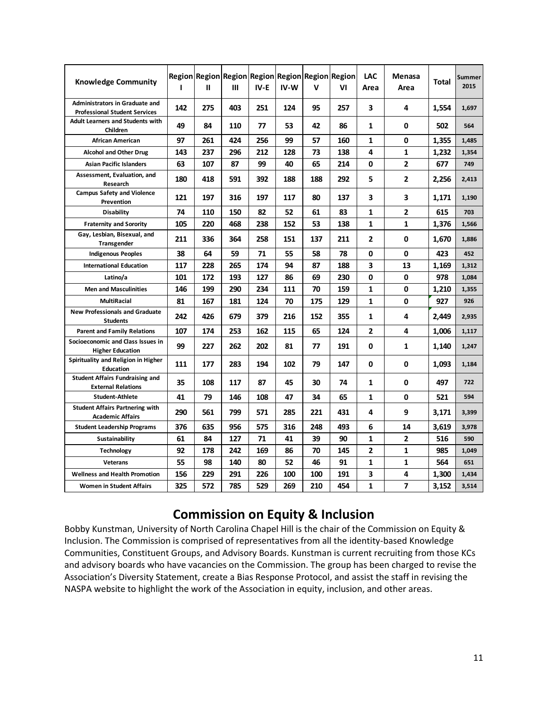| <b>Knowledge Community</b>                                                    | 1   | Ш   | Region Region Region Region Region Region Region<br>Ш | IV-E | IV-W | v   | VI  | LAC<br>Area    | Menasa<br>Area | Total | Summer<br>2015 |
|-------------------------------------------------------------------------------|-----|-----|-------------------------------------------------------|------|------|-----|-----|----------------|----------------|-------|----------------|
| <b>Administrators in Graduate and</b><br><b>Professional Student Services</b> | 142 | 275 | 403                                                   | 251  | 124  | 95  | 257 | 3              | 4              | 1,554 | 1,697          |
| <b>Adult Learners and Students with</b><br>Children                           | 49  | 84  | 110                                                   | 77   | 53   | 42  | 86  | 1              | 0              | 502   | 564            |
| <b>African American</b>                                                       | 97  | 261 | 424                                                   | 256  | 99   | 57  | 160 | 1              | 0              | 1,355 | 1,485          |
| <b>Alcohol and Other Drug</b>                                                 | 143 | 237 | 296                                                   | 212  | 128  | 73  | 138 | 4              | 1              | 1,232 | 1,354          |
| <b>Asian Pacific Islanders</b>                                                | 63  | 107 | 87                                                    | 99   | 40   | 65  | 214 | 0              | $\overline{2}$ | 677   | 749            |
| Assessment, Evaluation, and<br>Research                                       | 180 | 418 | 591                                                   | 392  | 188  | 188 | 292 | 5              | $\mathbf{z}$   | 2,256 | 2,413          |
| <b>Campus Safety and Violence</b><br>Prevention                               | 121 | 197 | 316                                                   | 197  | 117  | 80  | 137 | 3              | 3              | 1,171 | 1,190          |
| <b>Disability</b>                                                             | 74  | 110 | 150                                                   | 82   | 52   | 61  | 83  | 1              | $\overline{2}$ | 615   | 703            |
| <b>Fraternity and Sorority</b>                                                | 105 | 220 | 468                                                   | 238  | 152  | 53  | 138 | 1              | $\mathbf{1}$   | 1,376 | 1,566          |
| Gay, Lesbian, Bisexual, and<br>Transgender                                    | 211 | 336 | 364                                                   | 258  | 151  | 137 | 211 | $\overline{2}$ | $\mathbf{0}$   | 1,670 | 1.886          |
| <b>Indigenous Peoples</b>                                                     | 38  | 64  | 59                                                    | 71   | 55   | 58  | 78  | $\Omega$       | 0              | 423   | 452            |
| <b>International Education</b>                                                | 117 | 228 | 265                                                   | 174  | 94   | 87  | 188 | 3              | 13             | 1,169 | 1,312          |
| Latino/a                                                                      | 101 | 172 | 193                                                   | 127  | 86   | 69  | 230 | 0              | 0              | 978   | 1,084          |
| <b>Men and Masculinities</b>                                                  | 146 | 199 | 290                                                   | 234  | 111  | 70  | 159 | 1              | 0              | 1,210 | 1,355          |
| <b>MultiRacial</b>                                                            | 81  | 167 | 181                                                   | 124  | 70   | 175 | 129 | 1              | 0              | 927   | 926            |
| <b>New Professionals and Graduate</b><br><b>Students</b>                      | 242 | 426 | 679                                                   | 379  | 216  | 152 | 355 | 1              | 4              | 2.449 | 2,935          |
| <b>Parent and Family Relations</b>                                            | 107 | 174 | 253                                                   | 162  | 115  | 65  | 124 | $\overline{2}$ | 4              | 1,006 | 1,117          |
| Socioeconomic and Class Issues in<br><b>Higher Education</b>                  | 99  | 227 | 262                                                   | 202  | 81   | 77  | 191 | 0              | 1              | 1,140 | 1,247          |
| Spirituality and Religion in Higher<br><b>Education</b>                       | 111 | 177 | 283                                                   | 194  | 102  | 79  | 147 | 0              | 0              | 1.093 | 1,184          |
| <b>Student Affairs Fundraising and</b><br><b>External Relations</b>           | 35  | 108 | 117                                                   | 87   | 45   | 30  | 74  | $\mathbf{1}$   | 0              | 497   | 722            |
| <b>Student-Athlete</b>                                                        | 41  | 79  | 146                                                   | 108  | 47   | 34  | 65  | 1              | 0              | 521   | 594            |
| <b>Student Affairs Partnering with</b><br><b>Academic Affairs</b>             | 290 | 561 | 799                                                   | 571  | 285  | 221 | 431 | 4              | 9              | 3.171 | 3,399          |
| <b>Student Leadership Programs</b>                                            | 376 | 635 | 956                                                   | 575  | 316  | 248 | 493 | 6              | 14             | 3,619 | 3,978          |
| Sustainability                                                                | 61  | 84  | 127                                                   | 71   | 41   | 39  | 90  | 1              | 2              | 516   | 590            |
| <b>Technology</b>                                                             | 92  | 178 | 242                                                   | 169  | 86   | 70  | 145 | $\overline{2}$ | $\mathbf{1}$   | 985   | 1,049          |
| Veterans                                                                      | 55  | 98  | 140                                                   | 80   | 52   | 46  | 91  | $\mathbf{1}$   | 1              | 564   | 651            |
| <b>Wellness and Health Promotion</b>                                          | 156 | 229 | 291                                                   | 226  | 100  | 100 | 191 | 3              | 4              | 1,300 | 1,434          |
| <b>Women in Student Affairs</b>                                               | 325 | 572 | 785                                                   | 529  | 269  | 210 | 454 | 1              | 7              | 3,152 | 3,514          |

## **Commission on Equity & Inclusion**

Bobby Kunstman, University of North Carolina Chapel Hill is the chair of the Commission on Equity & Inclusion. The Commission is comprised of representatives from all the identity-based Knowledge Communities, Constituent Groups, and Advisory Boards. Kunstman is current recruiting from those KCs and advisory boards who have vacancies on the Commission. The group has been charged to revise the Association's Diversity Statement, create a Bias Response Protocol, and assist the staff in revising the NASPA website to highlight the work of the Association in equity, inclusion, and other areas.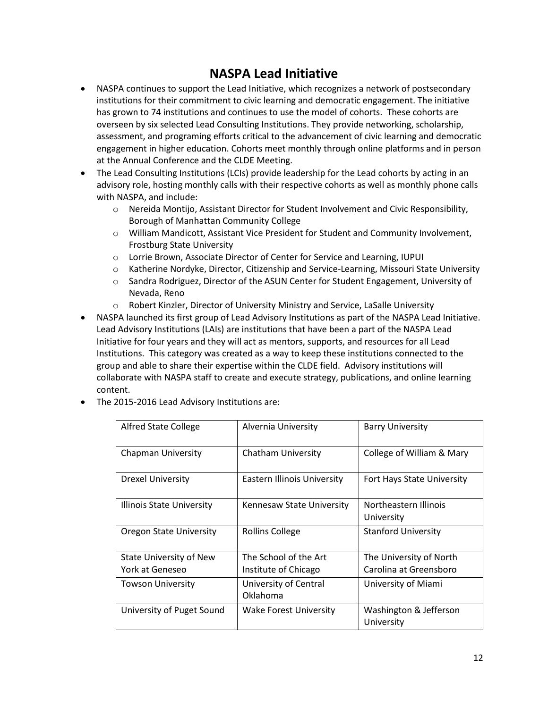# **NASPA Lead Initiative**

- NASPA continues to support the Lead Initiative, which recognizes a network of postsecondary institutions for their commitment to civic learning and democratic engagement. The initiative has grown to 74 institutions and continues to use the model of cohorts. These cohorts are overseen by six selected Lead Consulting Institutions. They provide networking, scholarship, assessment, and programing efforts critical to the advancement of civic learning and democratic engagement in higher education. Cohorts meet monthly through online platforms and in person at the Annual Conference and the CLDE Meeting.
- The Lead Consulting Institutions (LCIs) provide leadership for the Lead cohorts by acting in an advisory role, hosting monthly calls with their respective cohorts as well as monthly phone calls with NASPA, and include:
	- o Nereida Montijo, Assistant Director for Student Involvement and Civic Responsibility, Borough of Manhattan Community College
	- o William Mandicott, Assistant Vice President for Student and Community Involvement, Frostburg State University
	- o Lorrie Brown, Associate Director of Center for Service and Learning, IUPUI
	- o Katherine Nordyke, Director, Citizenship and Service-Learning, Missouri State University
	- o Sandra Rodriguez, Director of the ASUN Center for Student Engagement, University of Nevada, Reno
	- o Robert Kinzler, Director of University Ministry and Service, LaSalle University
- NASPA launched its first group of Lead Advisory Institutions as part of the NASPA Lead Initiative. Lead Advisory Institutions (LAIs) are institutions that have been a part of the NASPA Lead Initiative for four years and they will act as mentors, supports, and resources for all Lead Institutions. This category was created as a way to keep these institutions connected to the group and able to share their expertise within the CLDE field. Advisory institutions will collaborate with NASPA staff to create and execute strategy, publications, and online learning content.
- The 2015-2016 Lead Advisory Institutions are:

| <b>Alfred State College</b> | Alvernia University         | <b>Barry University</b>             |  |  |
|-----------------------------|-----------------------------|-------------------------------------|--|--|
| <b>Chapman University</b>   | <b>Chatham University</b>   | College of William & Mary           |  |  |
| <b>Drexel University</b>    | Eastern Illinois University | Fort Hays State University          |  |  |
| Illinois State University   | Kennesaw State University   | Northeastern Illinois<br>University |  |  |
| Oregon State University     | Rollins College             | <b>Stanford University</b>          |  |  |
| State University of New     | The School of the Art       | The University of North             |  |  |
| York at Geneseo             | Institute of Chicago        | Carolina at Greensboro              |  |  |
| <b>Towson University</b>    | University of Central       | University of Miami                 |  |  |
|                             | Oklahoma                    |                                     |  |  |
| University of Puget Sound   | Wake Forest University      | Washington & Jefferson              |  |  |
|                             |                             | University                          |  |  |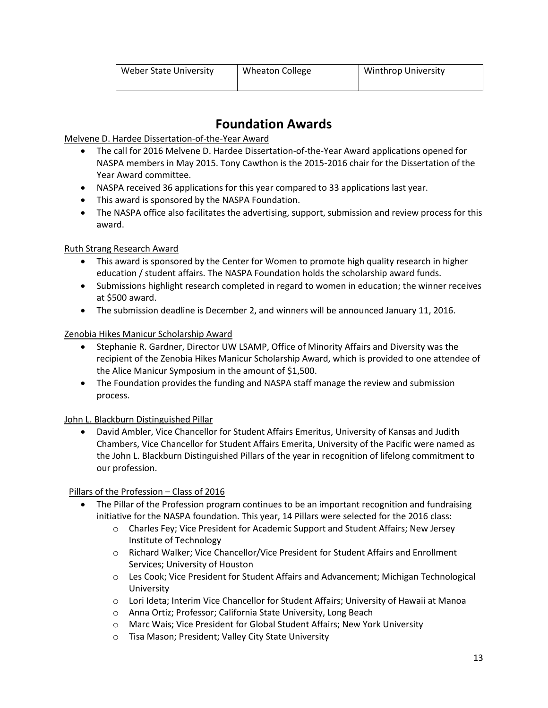# **Foundation Awards**

Melvene D. Hardee Dissertation-of-the-Year Award

- The call for 2016 Melvene D. Hardee Dissertation-of-the-Year Award applications opened for NASPA members in May 2015. Tony Cawthon is the 2015-2016 chair for the Dissertation of the Year Award committee.
- NASPA received 36 applications for this year compared to 33 applications last year.
- This award is sponsored by the NASPA Foundation.
- The NASPA office also facilitates the advertising, support, submission and review process for this award.

### Ruth Strang Research Award

- This award is sponsored by the Center for Women to promote high quality research in higher education / student affairs. The NASPA Foundation holds the scholarship award funds.
- Submissions highlight research completed in regard to women in education; the winner receives at \$500 award.
- The submission deadline is December 2, and winners will be announced January 11, 2016.

### Zenobia Hikes Manicur Scholarship Award

- Stephanie R. Gardner, Director UW LSAMP, Office of Minority Affairs and Diversity was the recipient of the Zenobia Hikes Manicur Scholarship Award, which is provided to one attendee of the Alice Manicur Symposium in the amount of \$1,500.
- The Foundation provides the funding and NASPA staff manage the review and submission process.

### John L. Blackburn Distinguished Pillar

 David Ambler, Vice Chancellor for Student Affairs Emeritus, University of Kansas and Judith Chambers, Vice Chancellor for Student Affairs Emerita, University of the Pacific were named as the John L. Blackburn Distinguished Pillars of the year in recognition of lifelong commitment to our profession.

### Pillars of the Profession – Class of 2016

- The Pillar of the Profession program continues to be an important recognition and fundraising initiative for the NASPA foundation. This year, 14 Pillars were selected for the 2016 class:
	- o Charles Fey; Vice President for Academic Support and Student Affairs; New Jersey Institute of Technology
	- o Richard Walker; Vice Chancellor/Vice President for Student Affairs and Enrollment Services; University of Houston
	- o Les Cook; Vice President for Student Affairs and Advancement; Michigan Technological University
	- o Lori Ideta; Interim Vice Chancellor for Student Affairs; University of Hawaii at Manoa
	- o Anna Ortiz; Professor; California State University, Long Beach
	- o Marc Wais; Vice President for Global Student Affairs; New York University
	- o Tisa Mason; President; Valley City State University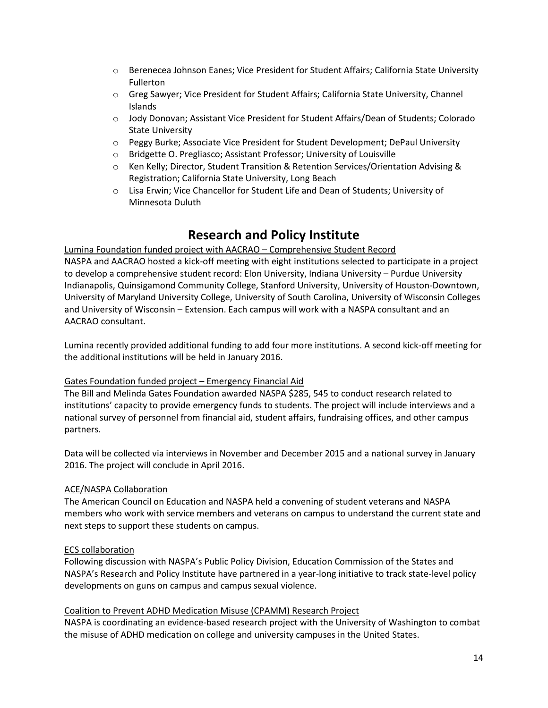- o Berenecea Johnson Eanes; Vice President for Student Affairs; California State University Fullerton
- o Greg Sawyer; Vice President for Student Affairs; California State University, Channel Islands
- o Jody Donovan; Assistant Vice President for Student Affairs/Dean of Students; Colorado State University
- o Peggy Burke; Associate Vice President for Student Development; DePaul University
- o Bridgette O. Pregliasco; Assistant Professor; University of Louisville
- o Ken Kelly; Director, Student Transition & Retention Services/Orientation Advising & Registration; California State University, Long Beach
- o Lisa Erwin; Vice Chancellor for Student Life and Dean of Students; University of Minnesota Duluth

### **Research and Policy Institute**

Lumina Foundation funded project with AACRAO – Comprehensive Student Record NASPA and AACRAO hosted a kick-off meeting with eight institutions selected to participate in a project to develop a comprehensive student record: Elon University, Indiana University – Purdue University Indianapolis, Quinsigamond Community College, Stanford University, University of Houston-Downtown, University of Maryland University College, University of South Carolina, University of Wisconsin Colleges and University of Wisconsin – Extension. Each campus will work with a NASPA consultant and an AACRAO consultant.

Lumina recently provided additional funding to add four more institutions. A second kick-off meeting for the additional institutions will be held in January 2016.

#### Gates Foundation funded project – Emergency Financial Aid

The Bill and Melinda Gates Foundation awarded NASPA \$285, 545 to conduct research related to institutions' capacity to provide emergency funds to students. The project will include interviews and a national survey of personnel from financial aid, student affairs, fundraising offices, and other campus partners.

Data will be collected via interviews in November and December 2015 and a national survey in January 2016. The project will conclude in April 2016.

#### ACE/NASPA Collaboration

The American Council on Education and NASPA held a convening of student veterans and NASPA members who work with service members and veterans on campus to understand the current state and next steps to support these students on campus.

#### ECS collaboration

Following discussion with NASPA's Public Policy Division, Education Commission of the States and NASPA's Research and Policy Institute have partnered in a year-long initiative to track state-level policy developments on guns on campus and campus sexual violence.

#### Coalition to Prevent ADHD Medication Misuse (CPAMM) Research Project

NASPA is coordinating an evidence-based research project with the University of Washington to combat the misuse of ADHD medication on college and university campuses in the United States.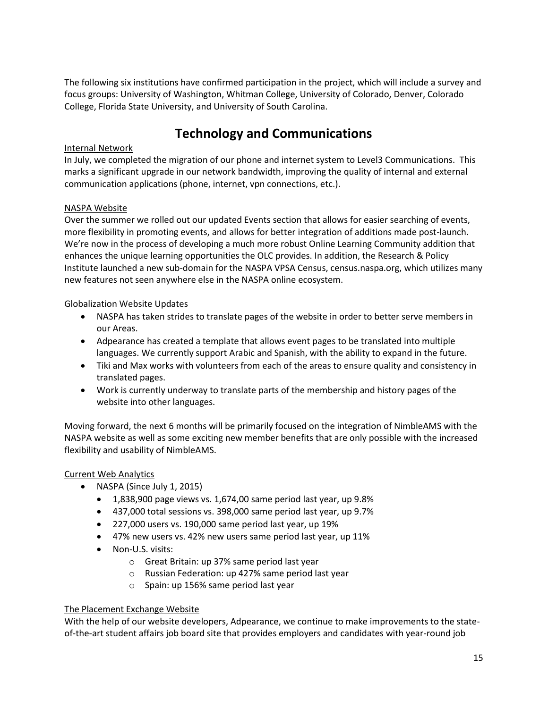The following six institutions have confirmed participation in the project, which will include a survey and focus groups: University of Washington, Whitman College, University of Colorado, Denver, Colorado College, Florida State University, and University of South Carolina.

# **Technology and Communications**

#### Internal Network

In July, we completed the migration of our phone and internet system to Level3 Communications. This marks a significant upgrade in our network bandwidth, improving the quality of internal and external communication applications (phone, internet, vpn connections, etc.).

#### NASPA Website

Over the summer we rolled out our updated Events section that allows for easier searching of events, more flexibility in promoting events, and allows for better integration of additions made post-launch. We're now in the process of developing a much more robust Online Learning Community addition that enhances the unique learning opportunities the OLC provides. In addition, the Research & Policy Institute launched a new sub-domain for the NASPA VPSA Census, census.naspa.org, which utilizes many new features not seen anywhere else in the NASPA online ecosystem.

#### Globalization Website Updates

- NASPA has taken strides to translate pages of the website in order to better serve members in our Areas.
- Adpearance has created a template that allows event pages to be translated into multiple languages. We currently support Arabic and Spanish, with the ability to expand in the future.
- Tiki and Max works with volunteers from each of the areas to ensure quality and consistency in translated pages.
- Work is currently underway to translate parts of the membership and history pages of the website into other languages.

Moving forward, the next 6 months will be primarily focused on the integration of NimbleAMS with the NASPA website as well as some exciting new member benefits that are only possible with the increased flexibility and usability of NimbleAMS.

### Current Web Analytics

- NASPA (Since July 1, 2015)
	- 1,838,900 page views vs. 1,674,00 same period last year, up 9.8%
	- 437,000 total sessions vs. 398,000 same period last year, up 9.7%
	- 227,000 users vs. 190,000 same period last year, up 19%
	- 47% new users vs. 42% new users same period last year, up 11%
	- Non-U.S. visits:
		- o Great Britain: up 37% same period last year
		- o Russian Federation: up 427% same period last year
		- o Spain: up 156% same period last year

#### The Placement Exchange Website

With the help of our website developers, Adpearance, we continue to make improvements to the stateof-the-art student affairs job board site that provides employers and candidates with year-round job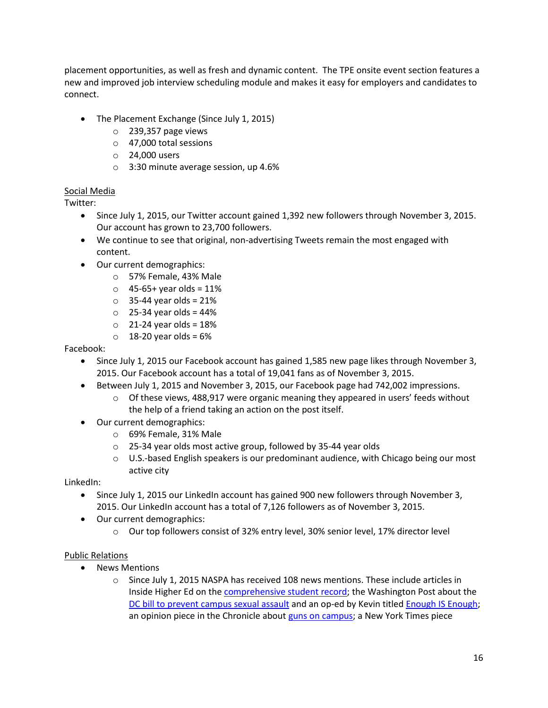placement opportunities, as well as fresh and dynamic content. The TPE onsite event section features a new and improved job interview scheduling module and makes it easy for employers and candidates to connect.

- The Placement Exchange (Since July 1, 2015)
	- o 239,357 page views
	- o 47,000 total sessions
	- o 24,000 users
	- o 3:30 minute average session, up 4.6%

#### Social Media

Twitter:

- Since July 1, 2015, our Twitter account gained 1,392 new followers through November 3, 2015. Our account has grown to 23,700 followers.
- We continue to see that original, non-advertising Tweets remain the most engaged with content.
- Our current demographics:
	- o 57% Female, 43% Male
	- $\circ$  45-65+ year olds = 11%
	- $\circ$  35-44 year olds = 21%
	- $\circ$  25-34 year olds = 44%
	- $\circ$  21-24 year olds = 18%
	- $\circ$  18-20 year olds = 6%

#### Facebook:

- Since July 1, 2015 our Facebook account has gained 1,585 new page likes through November 3, 2015. Our Facebook account has a total of 19,041 fans as of November 3, 2015.
- Between July 1, 2015 and November 3, 2015, our Facebook page had 742,002 impressions.
	- $\circ$  Of these views, 488,917 were organic meaning they appeared in users' feeds without the help of a friend taking an action on the post itself.
- Our current demographics:
	- o 69% Female, 31% Male
	- o 25-34 year olds most active group, followed by 35-44 year olds
	- $\circ$  U.S.-based English speakers is our predominant audience, with Chicago being our most active city

LinkedIn:

- Since July 1, 2015 our LinkedIn account has gained 900 new followers through November 3, 2015. Our LinkedIn account has a total of 7,126 followers as of November 3, 2015.
- Our current demographics:
	- o Our top followers consist of 32% entry level, 30% senior level, 17% director level

#### Public Relations

- News Mentions
	- $\circ$  Since July 1, 2015 NASPA has received 108 news mentions. These include articles in Inside Higher Ed on th[e comprehensive student record;](https://www.insidehighered.com/news/2015/07/13/project-create-models-broader-form-student-transcript) the Washington Post about the [DC bill to prevent campus sexual assault](https://www.washingtonpost.com/news/grade-point/wp/2015/07/20/a-scarlet-letter-for-students-implicated-in-sex-assaults-d-c-bill-sparks-debate/) and an op-ed by Kevin title[d Enough IS Enough;](https://www.washingtonpost.com/news/grade-point/wp/2015/07/27/enough-is-enough-colleges-dont-need-more-sex-assault-legislation/) an opinion piece in the Chronicle about [guns on campus;](http://chronicle.com/article/The-Case-Against-More-Guns-on/232093/) a New York Times piece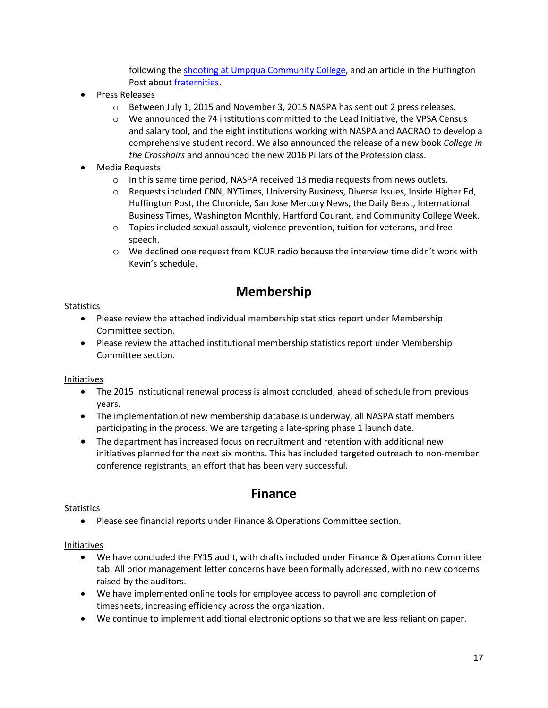following the [shooting at Umpqua Community College,](http://www.nytimes.com/2015/10/07/us/campus-security-teams-try-to-learn-from-each-new-attack.html?src=twr&_r=1) and an article in the Huffington Post about [fraternities.](http://www.huffingtonpost.com/entry/fraternity-groups-college-rape_55c10396e4b0e716be074a7f?kvcommref=mostpopular)

- Press Releases
	- o Between July 1, 2015 and November 3, 2015 NASPA has sent out 2 press releases.
	- $\circ$  We announced the 74 institutions committed to the Lead Initiative, the VPSA Census and salary tool, and the eight institutions working with NASPA and AACRAO to develop a comprehensive student record. We also announced the release of a new book *College in the Crosshairs* and announced the new 2016 Pillars of the Profession class.
- Media Requests
	- $\circ$  In this same time period, NASPA received 13 media requests from news outlets.
	- o Requests included CNN, NYTimes, University Business, Diverse Issues, Inside Higher Ed, Huffington Post, the Chronicle, San Jose Mercury News, the Daily Beast, International Business Times, Washington Monthly, Hartford Courant, and Community College Week.
	- $\circ$  Topics included sexual assault, violence prevention, tuition for veterans, and free speech.
	- o We declined one request from KCUR radio because the interview time didn't work with Kevin's schedule.

## **Membership**

### **Statistics**

- Please review the attached individual membership statistics report under Membership Committee section.
- Please review the attached institutional membership statistics report under Membership Committee section.

### Initiatives

- The 2015 institutional renewal process is almost concluded, ahead of schedule from previous years.
- The implementation of new membership database is underway, all NASPA staff members participating in the process. We are targeting a late-spring phase 1 launch date.
- The department has increased focus on recruitment and retention with additional new initiatives planned for the next six months. This has included targeted outreach to non-member conference registrants, an effort that has been very successful.

## **Finance**

### **Statistics**

Please see financial reports under Finance & Operations Committee section.

### Initiatives

- We have concluded the FY15 audit, with drafts included under Finance & Operations Committee tab. All prior management letter concerns have been formally addressed, with no new concerns raised by the auditors.
- We have implemented online tools for employee access to payroll and completion of timesheets, increasing efficiency across the organization.
- We continue to implement additional electronic options so that we are less reliant on paper.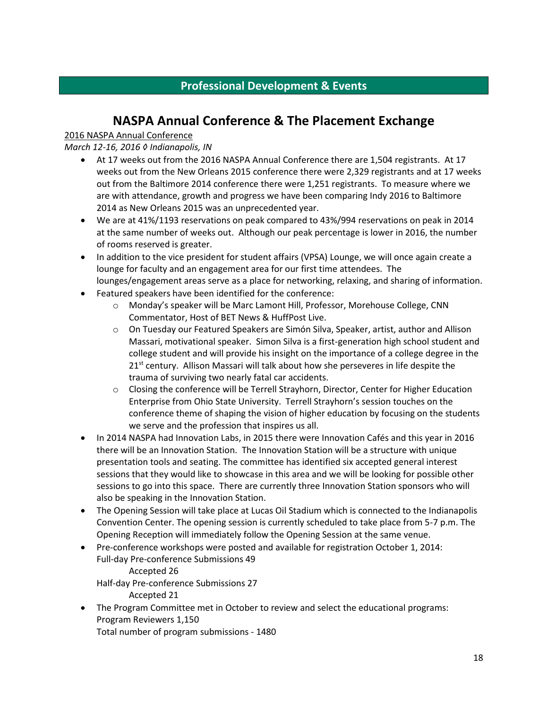### **Professional Development & Events**

## **NASPA Annual Conference & The Placement Exchange**

### 2016 NASPA Annual Conference

*March 12-16, 2016 ◊ Indianapolis, IN*

- At 17 weeks out from the 2016 NASPA Annual Conference there are 1,504 registrants. At 17 weeks out from the New Orleans 2015 conference there were 2,329 registrants and at 17 weeks out from the Baltimore 2014 conference there were 1,251 registrants. To measure where we are with attendance, growth and progress we have been comparing Indy 2016 to Baltimore 2014 as New Orleans 2015 was an unprecedented year.
- We are at 41%/1193 reservations on peak compared to 43%/994 reservations on peak in 2014 at the same number of weeks out. Although our peak percentage is lower in 2016, the number of rooms reserved is greater.
- In addition to the vice president for student affairs (VPSA) Lounge, we will once again create a lounge for faculty and an engagement area for our first time attendees. The lounges/engagement areas serve as a place for networking, relaxing, and sharing of information.
- Featured speakers have been identified for the conference:
	- o Monday's speaker will be Marc Lamont Hill, Professor, Morehouse College, CNN Commentator, Host of BET News & HuffPost Live.
	- o On Tuesday our Featured Speakers are Simón Silva, Speaker, artist, author and Allison Massari, motivational speaker. Simon Silva is a first-generation high school student and college student and will provide his insight on the importance of a college degree in the  $21<sup>st</sup>$  century. Allison Massari will talk about how she perseveres in life despite the trauma of surviving two nearly fatal car accidents.
	- $\circ$  Closing the conference will be Terrell Strayhorn, Director, Center for Higher Education Enterprise from Ohio State University. Terrell Strayhorn's session touches on the conference theme of shaping the vision of higher education by focusing on the students we serve and the profession that inspires us all.
- In 2014 NASPA had Innovation Labs, in 2015 there were Innovation Cafés and this year in 2016 there will be an Innovation Station. The Innovation Station will be a structure with unique presentation tools and seating. The committee has identified six accepted general interest sessions that they would like to showcase in this area and we will be looking for possible other sessions to go into this space. There are currently three Innovation Station sponsors who will also be speaking in the Innovation Station.
- The Opening Session will take place at Lucas Oil Stadium which is connected to the Indianapolis Convention Center. The opening session is currently scheduled to take place from 5-7 p.m. The Opening Reception will immediately follow the Opening Session at the same venue.
- Pre-conference workshops were posted and available for registration October 1, 2014: Full-day Pre-conference Submissions 49 Accepted 26 Half-day Pre-conference Submissions 27 Accepted 21
- The Program Committee met in October to review and select the educational programs: Program Reviewers 1,150

Total number of program submissions - 1480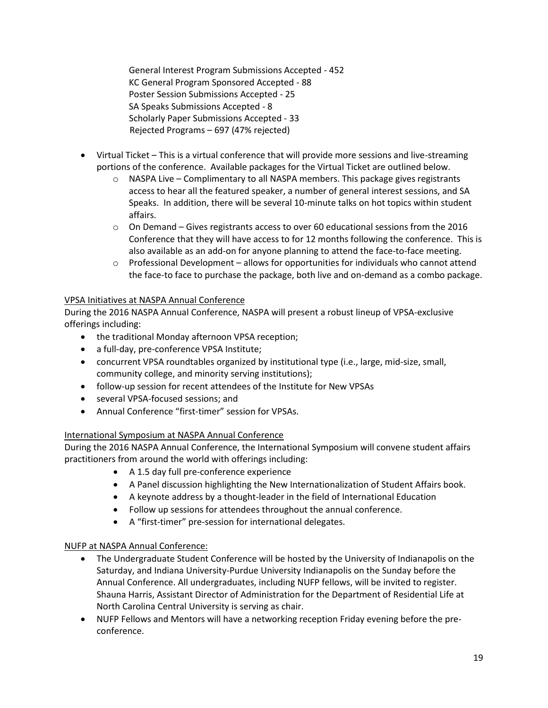General Interest Program Submissions Accepted - 452 KC General Program Sponsored Accepted - 88 Poster Session Submissions Accepted - 25 SA Speaks Submissions Accepted - 8 Scholarly Paper Submissions Accepted - 33 Rejected Programs – 697 (47% rejected)

- Virtual Ticket This is a virtual conference that will provide more sessions and live-streaming portions of the conference. Available packages for the Virtual Ticket are outlined below.
	- $\circ$  NASPA Live Complimentary to all NASPA members. This package gives registrants access to hear all the featured speaker, a number of general interest sessions, and SA Speaks. In addition, there will be several 10-minute talks on hot topics within student affairs.
	- $\circ$  On Demand Gives registrants access to over 60 educational sessions from the 2016 Conference that they will have access to for 12 months following the conference. This is also available as an add-on for anyone planning to attend the face-to-face meeting.
	- $\circ$  Professional Development allows for opportunities for individuals who cannot attend the face-to face to purchase the package, both live and on-demand as a combo package.

### VPSA Initiatives at NASPA Annual Conference

During the 2016 NASPA Annual Conference, NASPA will present a robust lineup of VPSA-exclusive offerings including:

- the traditional Monday afternoon VPSA reception;
- a full-day, pre-conference VPSA Institute;
- concurrent VPSA roundtables organized by institutional type (i.e., large, mid-size, small, community college, and minority serving institutions);
- follow-up session for recent attendees of the Institute for New VPSAs
- several VPSA-focused sessions; and
- Annual Conference "first-timer" session for VPSAs.

### International Symposium at NASPA Annual Conference

During the 2016 NASPA Annual Conference, the International Symposium will convene student affairs practitioners from around the world with offerings including:

- A 1.5 day full pre-conference experience
- A Panel discussion highlighting the New Internationalization of Student Affairs book.
- A keynote address by a thought-leader in the field of International Education
- Follow up sessions for attendees throughout the annual conference.
- A "first-timer" pre-session for international delegates.

### NUFP at NASPA Annual Conference:

- The Undergraduate Student Conference will be hosted by the University of Indianapolis on the Saturday, and Indiana University-Purdue University Indianapolis on the Sunday before the Annual Conference. All undergraduates, including NUFP fellows, will be invited to register. Shauna Harris, Assistant Director of Administration for the Department of Residential Life at North Carolina Central University is serving as chair.
- NUFP Fellows and Mentors will have a networking reception Friday evening before the preconference.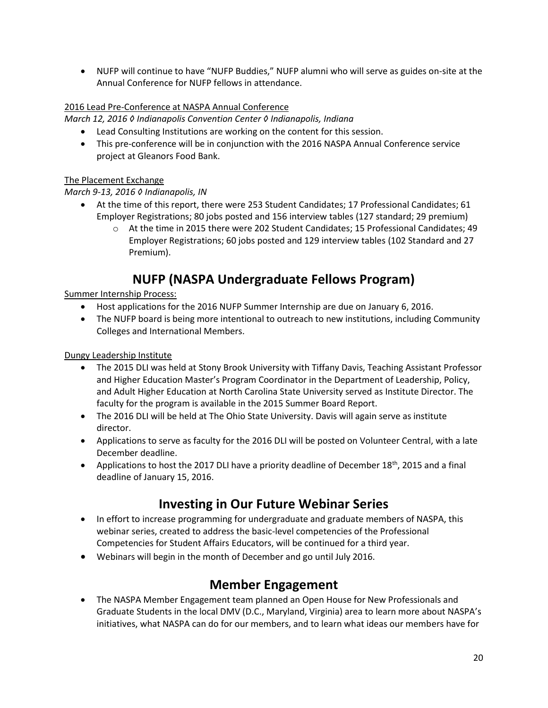NUFP will continue to have "NUFP Buddies," NUFP alumni who will serve as guides on-site at the Annual Conference for NUFP fellows in attendance.

### 2016 Lead Pre-Conference at NASPA Annual Conference

*March 12, 2016 ◊ Indianapolis Convention Center ◊ Indianapolis, Indiana*

- Lead Consulting Institutions are working on the content for this session.
- This pre-conference will be in conjunction with the 2016 NASPA Annual Conference service project at Gleanors Food Bank.

### The Placement Exchange

### *March 9-13, 2016 ◊ Indianapolis, IN*

- At the time of this report, there were 253 Student Candidates; 17 Professional Candidates; 61 Employer Registrations; 80 jobs posted and 156 interview tables (127 standard; 29 premium)
	- o At the time in 2015 there were 202 Student Candidates; 15 Professional Candidates; 49 Employer Registrations; 60 jobs posted and 129 interview tables (102 Standard and 27 Premium).

## **NUFP (NASPA Undergraduate Fellows Program)**

### Summer Internship Process:

- Host applications for the 2016 NUFP Summer Internship are due on January 6, 2016.
- The NUFP board is being more intentional to outreach to new institutions, including Community Colleges and International Members.

Dungy Leadership Institute

- The 2015 DLI was held at Stony Brook University with Tiffany Davis, Teaching Assistant Professor and Higher Education Master's Program Coordinator in the Department of Leadership, Policy, and Adult Higher Education at North Carolina State University served as Institute Director. The faculty for the program is available in the 2015 Summer Board Report.
- The 2016 DLI will be held at The Ohio State University. Davis will again serve as institute director.
- Applications to serve as faculty for the 2016 DLI will be posted on Volunteer Central, with a late December deadline.
- Applications to host the 2017 DLI have a priority deadline of December  $18^{th}$ , 2015 and a final deadline of January 15, 2016.

## **Investing in Our Future Webinar Series**

- In effort to increase programming for undergraduate and graduate members of NASPA, this webinar series, created to address the basic-level competencies of the Professional Competencies for Student Affairs Educators, will be continued for a third year.
- Webinars will begin in the month of December and go until July 2016.

## **Member Engagement**

 The NASPA Member Engagement team planned an Open House for New Professionals and Graduate Students in the local DMV (D.C., Maryland, Virginia) area to learn more about NASPA's initiatives, what NASPA can do for our members, and to learn what ideas our members have for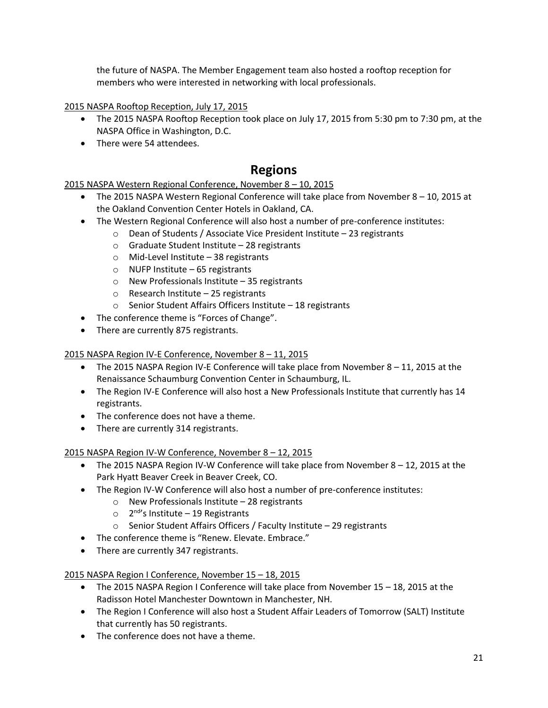the future of NASPA. The Member Engagement team also hosted a rooftop reception for members who were interested in networking with local professionals.

2015 NASPA Rooftop Reception, July 17, 2015

- The 2015 NASPA Rooftop Reception took place on July 17, 2015 from 5:30 pm to 7:30 pm, at the NASPA Office in Washington, D.C.
- There were 54 attendees.

## **Regions**

### 2015 NASPA Western Regional Conference, November 8 – 10, 2015

- The 2015 NASPA Western Regional Conference will take place from November 8 10, 2015 at the Oakland Convention Center Hotels in Oakland, CA.
- The Western Regional Conference will also host a number of pre-conference institutes:
	- o Dean of Students / Associate Vice President Institute 23 registrants
	- o Graduate Student Institute 28 registrants
	- o Mid-Level Institute 38 registrants
	- $\circ$  NUFP Institute 65 registrants
	- o New Professionals Institute 35 registrants
	- o Research Institute 25 registrants
	- o Senior Student Affairs Officers Institute 18 registrants
- The conference theme is "Forces of Change".
- There are currently 875 registrants.

### 2015 NASPA Region IV-E Conference, November 8 – 11, 2015

- The 2015 NASPA Region IV-E Conference will take place from November 8 11, 2015 at the Renaissance Schaumburg Convention Center in Schaumburg, IL.
- The Region IV-E Conference will also host a New Professionals Institute that currently has 14 registrants.
- The conference does not have a theme.
- There are currently 314 registrants.

### 2015 NASPA Region IV-W Conference, November 8 – 12, 2015

- The 2015 NASPA Region IV-W Conference will take place from November 8 12, 2015 at the Park Hyatt Beaver Creek in Beaver Creek, CO.
- The Region IV-W Conference will also host a number of pre-conference institutes:
	- o New Professionals Institute 28 registrants
	- 2<sup>nd</sup>'s Institute 19 Registrants
	- o Senior Student Affairs Officers / Faculty Institute 29 registrants
- The conference theme is "Renew. Elevate. Embrace."
- There are currently 347 registrants.

### 2015 NASPA Region I Conference, November 15 – 18, 2015

- The 2015 NASPA Region I Conference will take place from November 15 18, 2015 at the Radisson Hotel Manchester Downtown in Manchester, NH.
- The Region I Conference will also host a Student Affair Leaders of Tomorrow (SALT) Institute that currently has 50 registrants.
- The conference does not have a theme.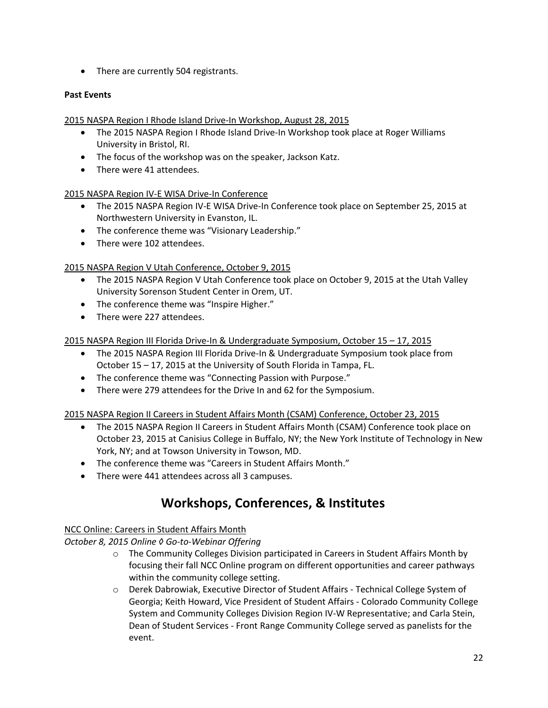• There are currently 504 registrants.

### **Past Events**

2015 NASPA Region I Rhode Island Drive-In Workshop, August 28, 2015

- The 2015 NASPA Region I Rhode Island Drive-In Workshop took place at Roger Williams University in Bristol, RI.
- The focus of the workshop was on the speaker, Jackson Katz.
- There were 41 attendees.

### 2015 NASPA Region IV-E WISA Drive-In Conference

- The 2015 NASPA Region IV-E WISA Drive-In Conference took place on September 25, 2015 at Northwestern University in Evanston, IL.
- The conference theme was "Visionary Leadership."
- There were 102 attendees.

### 2015 NASPA Region V Utah Conference, October 9, 2015

- The 2015 NASPA Region V Utah Conference took place on October 9, 2015 at the Utah Valley University Sorenson Student Center in Orem, UT.
- The conference theme was "Inspire Higher."
- There were 227 attendees.

2015 NASPA Region III Florida Drive-In & Undergraduate Symposium, October 15 – 17, 2015

- The 2015 NASPA Region III Florida Drive-In & Undergraduate Symposium took place from October 15 – 17, 2015 at the University of South Florida in Tampa, FL.
- The conference theme was "Connecting Passion with Purpose."
- There were 279 attendees for the Drive In and 62 for the Symposium.

2015 NASPA Region II Careers in Student Affairs Month (CSAM) Conference, October 23, 2015

- The 2015 NASPA Region II Careers in Student Affairs Month (CSAM) Conference took place on October 23, 2015 at Canisius College in Buffalo, NY; the New York Institute of Technology in New York, NY; and at Towson University in Towson, MD.
- The conference theme was "Careers in Student Affairs Month."
- There were 441 attendees across all 3 campuses.

## **Workshops, Conferences, & Institutes**

### NCC Online: Careers in Student Affairs Month

*October 8, 2015 Online ◊ Go-to-Webinar Offering* 

- o The Community Colleges Division participated in Careers in Student Affairs Month by focusing their fall NCC Online program on different opportunities and career pathways within the community college setting.
- o Derek Dabrowiak, Executive Director of Student Affairs Technical College System of Georgia; Keith Howard, Vice President of Student Affairs - Colorado Community College System and Community Colleges Division Region IV-W Representative; and Carla Stein, Dean of Student Services - Front Range Community College served as panelists for the event.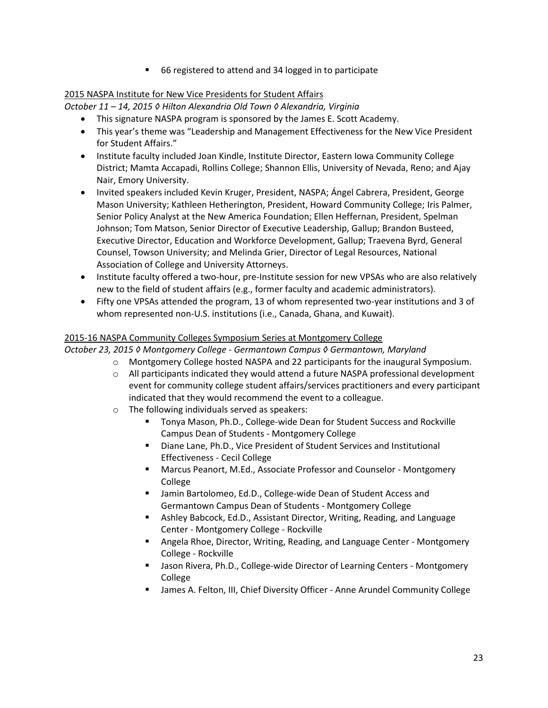■ 66 registered to attend and 34 logged in to participate

#### 2015 NASPA Institute for New Vice Presidents for Student Affairs

*October 11 – 14, 2015 ◊ Hilton Alexandria Old Town ◊ Alexandria, Virginia*

- This signature NASPA program is sponsored by the James E. Scott Academy.
- This year's theme was "Leadership and Management Effectiveness for the New Vice President for Student Affairs."
- Institute faculty included Joan Kindle, Institute Director, Eastern Iowa Community College District; Mamta Accapadi, Rollins College; Shannon Ellis, University of Nevada, Reno; and Ajay Nair, Emory University.
- Invited speakers included Kevin Kruger, President, NASPA; Ángel Cabrera, President, George Mason University; Kathleen Hetherington, President, Howard Community College; Iris Palmer, Senior Policy Analyst at the New America Foundation; Ellen Heffernan, President, Spelman Johnson; Tom Matson, Senior Director of Executive Leadership, Gallup; Brandon Busteed, Executive Director, Education and Workforce Development, Gallup; Traevena Byrd, General Counsel, Towson University; and Melinda Grier, Director of Legal Resources, National Association of College and University Attorneys.
- Institute faculty offered a two-hour, pre-Institute session for new VPSAs who are also relatively new to the field of student affairs (e.g., former faculty and academic administrators).
- Fifty one VPSAs attended the program, 13 of whom represented two-year institutions and 3 of whom represented non-U.S. institutions (i.e., Canada, Ghana, and Kuwait).

### 2015-16 NASPA Community Colleges Symposium Series at Montgomery College

*October 23, 2015 ◊ Montgomery College - Germantown Campus ◊ Germantown, Maryland*

- o Montgomery College hosted NASPA and 22 participants for the inaugural Symposium.
- $\circ$  All participants indicated they would attend a future NASPA professional development event for community college student affairs/services practitioners and every participant indicated that they would recommend the event to a colleague.
- o The following individuals served as speakers:
	- Tonya Mason, Ph.D., College-wide Dean for Student Success and Rockville Campus Dean of Students - Montgomery College
	- Diane Lane, Ph.D., Vice President of Student Services and Institutional Effectiveness - Cecil College
	- Marcus Peanort, M.Ed., Associate Professor and Counselor Montgomery College
	- **E** Jamin Bartolomeo, Ed.D., College-wide Dean of Student Access and Germantown Campus Dean of Students - Montgomery College
	- Ashley Babcock, Ed.D., Assistant Director, Writing, Reading, and Language Center - Montgomery College - Rockville
	- Angela Rhoe, Director, Writing, Reading, and Language Center Montgomery College - Rockville
	- **Jason Rivera, Ph.D., College-wide Director of Learning Centers Montgomery** College
	- James A. Felton, III, Chief Diversity Officer Anne Arundel Community College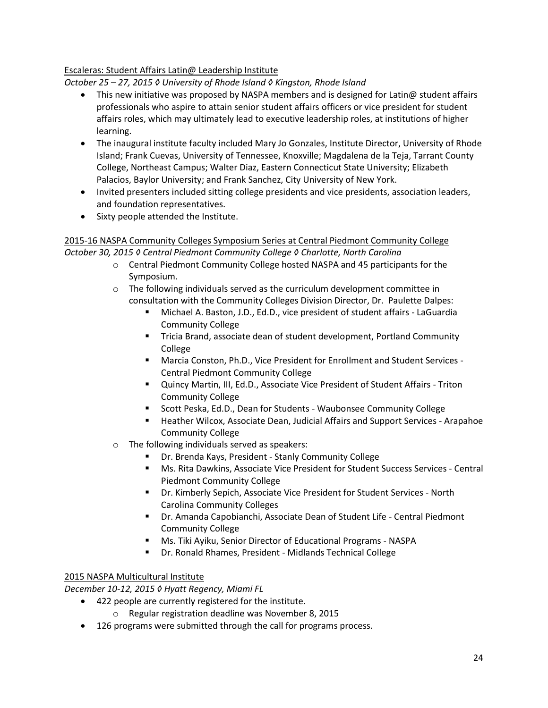#### Escaleras: Student Affairs Latin@ Leadership Institute

*October 25 – 27, 2015 ◊ University of Rhode Island ◊ Kingston, Rhode Island*

- $\bullet$  This new initiative was proposed by NASPA members and is designed for Latin @ student affairs professionals who aspire to attain senior student affairs officers or vice president for student affairs roles, which may ultimately lead to executive leadership roles, at institutions of higher learning.
- The inaugural institute faculty included Mary Jo Gonzales, Institute Director, University of Rhode Island; Frank Cuevas, University of Tennessee, Knoxville; Magdalena de la Teja, Tarrant County College, Northeast Campus; Walter Diaz, Eastern Connecticut State University; Elizabeth Palacios, Baylor University; and Frank Sanchez, City University of New York.
- Invited presenters included sitting college presidents and vice presidents, association leaders, and foundation representatives.
- Sixty people attended the Institute.

### 2015-16 NASPA Community Colleges Symposium Series at Central Piedmont Community College *October 30, 2015 ◊ Central Piedmont Community College ◊ Charlotte, North Carolina*

- o Central Piedmont Community College hosted NASPA and 45 participants for the Symposium.
- o The following individuals served as the curriculum development committee in consultation with the Community Colleges Division Director, Dr. Paulette Dalpes:
	- Michael A. Baston, J.D., Ed.D., vice president of student affairs LaGuardia Community College
	- Tricia Brand, associate dean of student development, Portland Community College
	- Marcia Conston, Ph.D., Vice President for Enrollment and Student Services Central Piedmont Community College
	- Quincy Martin, III, Ed.D., Associate Vice President of Student Affairs Triton Community College
	- **Scott Peska, Ed.D., Dean for Students Waubonsee Community College**
	- **Heather Wilcox, Associate Dean, Judicial Affairs and Support Services Arapahoe** Community College
- o The following individuals served as speakers:
	- Dr. Brenda Kays, President Stanly Community College
	- Ms. Rita Dawkins, Associate Vice President for Student Success Services Central Piedmont Community College
	- Dr. Kimberly Sepich, Associate Vice President for Student Services North Carolina Community Colleges
	- Dr. Amanda Capobianchi, Associate Dean of Student Life Central Piedmont Community College
	- Ms. Tiki Ayiku, Senior Director of Educational Programs NASPA
	- Dr. Ronald Rhames, President Midlands Technical College

#### 2015 NASPA Multicultural Institute

*December 10-12, 2015 ◊ Hyatt Regency, Miami FL*

- 422 people are currently registered for the institute.
	- o Regular registration deadline was November 8, 2015
- 126 programs were submitted through the call for programs process.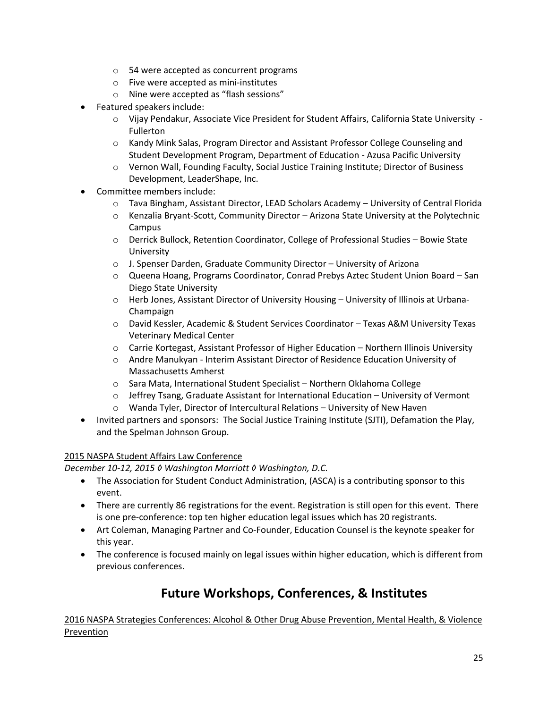- o 54 were accepted as concurrent programs
- o Five were accepted as mini-institutes
- o Nine were accepted as "flash sessions"
- Featured speakers include:
	- o Vijay Pendakur, Associate Vice President for Student Affairs, California State University Fullerton
	- o Kandy Mink Salas, Program Director and Assistant Professor College Counseling and Student Development Program, Department of Education - Azusa Pacific University
	- o Vernon Wall, Founding Faculty, Social Justice Training Institute; Director of Business Development, LeaderShape, Inc.
- Committee members include:
	- o Tava Bingham, Assistant Director, LEAD Scholars Academy University of Central Florida
	- o Kenzalia Bryant-Scott, Community Director Arizona State University at the Polytechnic Campus
	- o Derrick Bullock, Retention Coordinator, College of Professional Studies Bowie State University
	- $\circ$  J. Spenser Darden, Graduate Community Director University of Arizona
	- o Queena Hoang, Programs Coordinator, Conrad Prebys Aztec Student Union Board San Diego State University
	- o Herb Jones, Assistant Director of University Housing University of Illinois at Urbana-Champaign
	- o David Kessler, Academic & Student Services Coordinator Texas A&M University Texas Veterinary Medical Center
	- o Carrie Kortegast, Assistant Professor of Higher Education Northern Illinois University
	- o Andre Manukyan Interim Assistant Director of Residence Education University of Massachusetts Amherst
	- o Sara Mata, International Student Specialist Northern Oklahoma College
	- $\circ$  Jeffrey Tsang, Graduate Assistant for International Education University of Vermont
	- o Wanda Tyler, Director of Intercultural Relations University of New Haven
- Invited partners and sponsors: The Social Justice Training Institute (SJTI), Defamation the Play, and the Spelman Johnson Group.

#### 2015 NASPA Student Affairs Law Conference

*December 10-12, 2015 ◊ Washington Marriott ◊ Washington, D.C.*

- The Association for Student Conduct Administration, (ASCA) is a contributing sponsor to this event.
- There are currently 86 registrations for the event. Registration is still open for this event. There is one pre-conference: top ten higher education legal issues which has 20 registrants.
- Art Coleman, Managing Partner and Co-Founder, Education Counsel is the keynote speaker for this year.
- The conference is focused mainly on legal issues within higher education, which is different from previous conferences.

## **Future Workshops, Conferences, & Institutes**

2016 NASPA Strategies Conferences: Alcohol & Other Drug Abuse Prevention, Mental Health, & Violence Prevention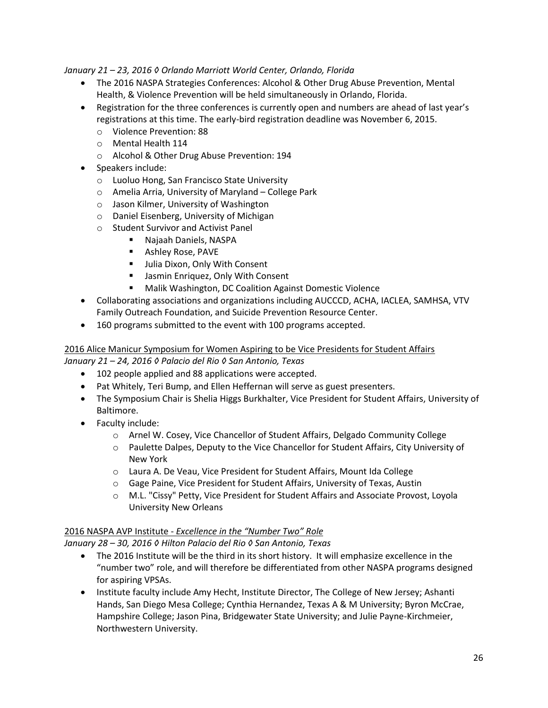#### *January 21 – 23, 2016 ◊ Orlando Marriott World Center, Orlando, Florida*

- The 2016 NASPA Strategies Conferences: Alcohol & Other Drug Abuse Prevention, Mental Health, & Violence Prevention will be held simultaneously in Orlando, Florida.
- Registration for the three conferences is currently open and numbers are ahead of last year's registrations at this time. The early-bird registration deadline was November 6, 2015.
	- o Violence Prevention: 88
	- o Mental Health 114
	- o Alcohol & Other Drug Abuse Prevention: 194
- Speakers include:
	- o Luoluo Hong, San Francisco State University
	- o Amelia Arria, University of Maryland College Park
	- o Jason Kilmer, University of Washington
	- o Daniel Eisenberg, University of Michigan
	- o Student Survivor and Activist Panel
		- Najaah Daniels, NASPA
		- **Ashley Rose, PAVE**
		- **Julia Dixon, Only With Consent**
		- **Jasmin Enriquez, Only With Consent**
		- Malik Washington, DC Coalition Against Domestic Violence
- Collaborating associations and organizations including AUCCCD, ACHA, IACLEA, SAMHSA, VTV Family Outreach Foundation, and Suicide Prevention Resource Center.
- 160 programs submitted to the event with 100 programs accepted.

#### 2016 Alice Manicur Symposium for Women Aspiring to be Vice Presidents for Student Affairs *January 21 – 24, 2016 ◊ Palacio del Rio ◊ San Antonio, Texas*

- 102 people applied and 88 applications were accepted.
- Pat Whitely, Teri Bump, and Ellen Heffernan will serve as guest presenters.
- The Symposium Chair is Shelia Higgs Burkhalter, Vice President for Student Affairs, University of Baltimore.
- Faculty include:
	- o Arnel W. Cosey, Vice Chancellor of Student Affairs, Delgado Community College
	- o Paulette Dalpes, Deputy to the Vice Chancellor for Student Affairs, City University of New York
	- o Laura A. De Veau, Vice President for Student Affairs, Mount Ida College
	- o Gage Paine, Vice President for Student Affairs, University of Texas, Austin
	- o M.L. "Cissy" Petty, Vice President for Student Affairs and Associate Provost, Loyola University New Orleans

### 2016 NASPA AVP Institute - *Excellence in the "Number Two" Role*

*January 28 – 30, 2016 ◊ Hilton Palacio del Rio ◊ San Antonio, Texas*

- The 2016 Institute will be the third in its short history. It will emphasize excellence in the "number two" role, and will therefore be differentiated from other NASPA programs designed for aspiring VPSAs.
- Institute faculty include Amy Hecht, Institute Director, The College of New Jersey; Ashanti Hands, San Diego Mesa College; Cynthia Hernandez, Texas A & M University; Byron McCrae, Hampshire College; Jason Pina, Bridgewater State University; and Julie Payne-Kirchmeier, Northwestern University.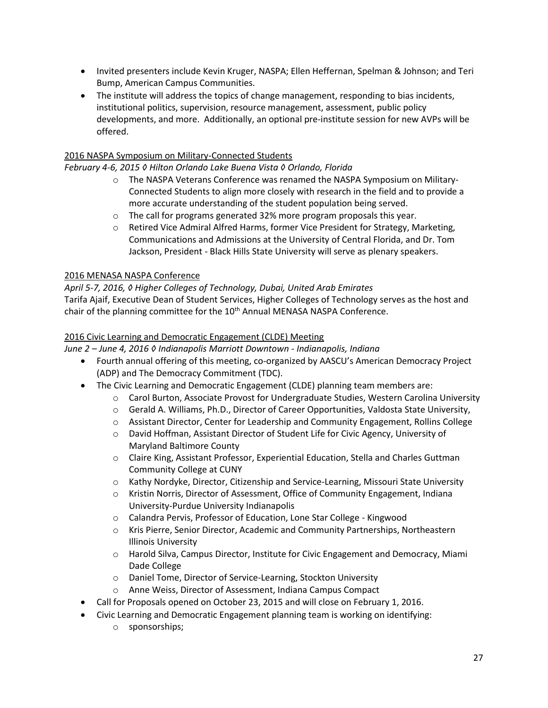- Invited presenters include Kevin Kruger, NASPA; Ellen Heffernan, Spelman & Johnson; and Teri Bump, American Campus Communities.
- The institute will address the topics of change management, responding to bias incidents, institutional politics, supervision, resource management, assessment, public policy developments, and more. Additionally, an optional pre-institute session for new AVPs will be offered.

### 2016 NASPA Symposium on Military-Connected Students

*February 4-6, 2015 ◊ Hilton Orlando Lake Buena Vista ◊ Orlando, Florida*

- o The NASPA Veterans Conference was renamed the NASPA Symposium on Military-Connected Students to align more closely with research in the field and to provide a more accurate understanding of the student population being served.
- o The call for programs generated 32% more program proposals this year.
- o Retired Vice Admiral Alfred Harms, former Vice President for Strategy, Marketing, Communications and Admissions at the University of Central Florida, and Dr. Tom Jackson, President - Black Hills State University will serve as plenary speakers.

#### 2016 MENASA NASPA Conference

#### *April 5-7, 2016, ◊ Higher Colleges of Technology, Dubai, United Arab Emirates*

Tarifa Ajaif, Executive Dean of Student Services, Higher Colleges of Technology serves as the host and chair of the planning committee for the 10<sup>th</sup> Annual MENASA NASPA Conference.

#### 2016 Civic Learning and Democratic Engagement (CLDE) Meeting

*June 2 – June 4, 2016 ◊ Indianapolis Marriott Downtown - Indianapolis, Indiana*

- Fourth annual offering of this meeting, co-organized by AASCU's American Democracy Project (ADP) and The Democracy Commitment (TDC).
- The Civic Learning and Democratic Engagement (CLDE) planning team members are:
	- o Carol Burton, Associate Provost for Undergraduate Studies, Western Carolina University
	- o Gerald A. Williams, Ph.D., Director of Career Opportunities, Valdosta State University,
	- o Assistant Director, Center for Leadership and Community Engagement, Rollins College
	- o David Hoffman, Assistant Director of Student Life for Civic Agency, University of Maryland Baltimore County
	- o Claire King, Assistant Professor, Experiential Education, Stella and Charles Guttman Community College at CUNY
	- o Kathy Nordyke, Director, Citizenship and Service-Learning, Missouri State University
	- o Kristin Norris, Director of Assessment, Office of Community Engagement, Indiana University-Purdue University Indianapolis
	- o Calandra Pervis, Professor of Education, Lone Star College Kingwood
	- o Kris Pierre, Senior Director, Academic and Community Partnerships, Northeastern Illinois University
	- o Harold Silva, Campus Director, Institute for Civic Engagement and Democracy, Miami Dade College
	- o Daniel Tome, Director of Service-Learning, Stockton University
	- o Anne Weiss, Director of Assessment, Indiana Campus Compact
- Call for Proposals opened on October 23, 2015 and will close on February 1, 2016.
- Civic Learning and Democratic Engagement planning team is working on identifying:
	- o sponsorships;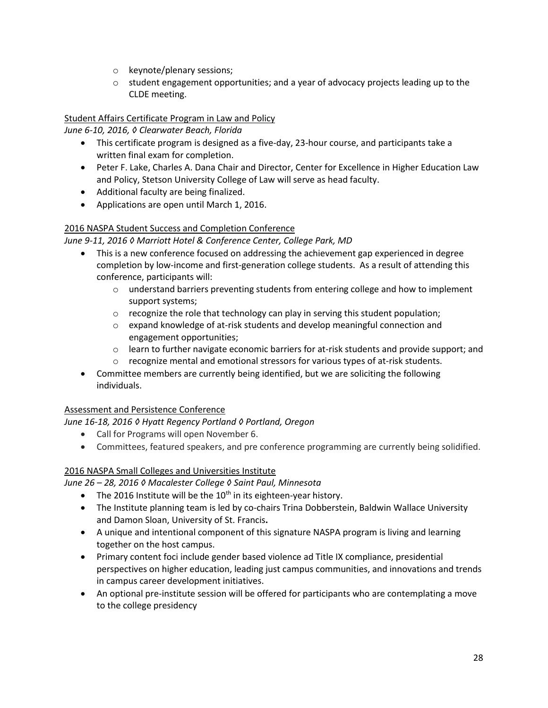- o keynote/plenary sessions;
- $\circ$  student engagement opportunities; and a year of advocacy projects leading up to the CLDE meeting.

### Student Affairs Certificate Program in Law and Policy

*June 6-10, 2016, ◊ Clearwater Beach, Florida*

- This certificate program is designed as a five-day, 23-hour course, and participants take a written final exam for completion.
- Peter F. Lake, Charles A. Dana Chair and Director, Center for Excellence in Higher Education Law and Policy, Stetson University College of Law will serve as head faculty.
- Additional faculty are being finalized.
- Applications are open until March 1, 2016.

### 2016 NASPA Student Success and Completion Conference

### *June 9-11, 2016 ◊ Marriott Hotel & Conference Center, College Park, MD*

- This is a new conference focused on addressing the achievement gap experienced in degree completion by low-income and first-generation college students. As a result of attending this conference, participants will:
	- $\circ$  understand barriers preventing students from entering college and how to implement support systems;
	- $\circ$  recognize the role that technology can play in serving this student population;
	- o expand knowledge of at-risk students and develop meaningful connection and engagement opportunities;
	- $\circ$  learn to further navigate economic barriers for at-risk students and provide support; and
	- $\circ$  recognize mental and emotional stressors for various types of at-risk students.
- Committee members are currently being identified, but we are soliciting the following individuals.

### Assessment and Persistence Conference

*June 16-18, 2016 ◊ Hyatt Regency Portland ◊ Portland, Oregon*

- Call for Programs will open November 6.
- Committees, featured speakers, and pre conference programming are currently being solidified.

### 2016 NASPA Small Colleges and Universities Institute

*June 26 – 28, 2016 ◊ Macalester College ◊ Saint Paul, Minnesota*

- The 2016 Institute will be the  $10<sup>th</sup>$  in its eighteen-year history.
- The Institute planning team is led by co-chairs Trina Dobberstein, Baldwin Wallace University and Damon Sloan, University of St. Francis**.**
- A unique and intentional component of this signature NASPA program is living and learning together on the host campus.
- Primary content foci include gender based violence ad Title IX compliance, presidential perspectives on higher education, leading just campus communities, and innovations and trends in campus career development initiatives.
- An optional pre-institute session will be offered for participants who are contemplating a move to the college presidency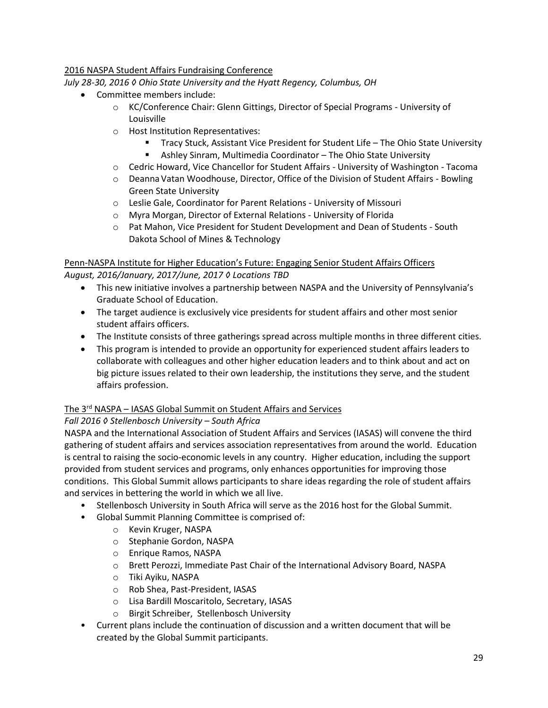### 2016 NASPA Student Affairs Fundraising Conference

*July 28-30, 2016 ◊ Ohio State University and the Hyatt Regency, Columbus, OH*

- Committee members include:
	- o KC/Conference Chair: Glenn Gittings, Director of Special Programs University of Louisville
	- o Host Institution Representatives:
		- Tracy Stuck, Assistant Vice President for Student Life The Ohio State University
		- Ashley Sinram, Multimedia Coordinator The Ohio State University
	- o Cedric Howard, Vice Chancellor for Student Affairs University of Washington Tacoma
	- $\circ$  Deanna Vatan Woodhouse, Director, Office of the Division of Student Affairs Bowling Green State University
	- o Leslie Gale, Coordinator for Parent Relations University of Missouri
	- o Myra Morgan, Director of External Relations University of Florida
	- o Pat Mahon, Vice President for Student Development and Dean of Students South Dakota School of Mines & Technology

#### Penn-NASPA Institute for Higher Education's Future: Engaging Senior Student Affairs Officers *August, 2016/January, 2017/June, 2017 ◊ Locations TBD*

- This new initiative involves a partnership between NASPA and the University of Pennsylvania's Graduate School of Education.
- The target audience is exclusively vice presidents for student affairs and other most senior student affairs officers.
- The Institute consists of three gatherings spread across multiple months in three different cities.
- This program is intended to provide an opportunity for experienced student affairs leaders to collaborate with colleagues and other higher education leaders and to think about and act on big picture issues related to their own leadership, the institutions they serve, and the student affairs profession.

### The 3rd NASPA – IASAS Global Summit on Student Affairs and Services

### *Fall 2016 ◊ Stellenbosch University – South Africa*

NASPA and the International Association of Student Affairs and Services (IASAS) will convene the third gathering of student affairs and services association representatives from around the world. Education is central to raising the socio-economic levels in any country. Higher education, including the support provided from student services and programs, only enhances opportunities for improving those conditions. This Global Summit allows participants to share ideas regarding the role of student affairs and services in bettering the world in which we all live.

- Stellenbosch University in South Africa will serve as the 2016 host for the Global Summit.
- Global Summit Planning Committee is comprised of:
	- o Kevin Kruger, NASPA
	- o Stephanie Gordon, NASPA
	- o Enrique Ramos, NASPA
	- o Brett Perozzi, Immediate Past Chair of the International Advisory Board, NASPA
	- o Tiki Ayiku, NASPA
	- o Rob Shea, Past-President, IASAS
	- o Lisa Bardill Moscaritolo, Secretary, IASAS
	- o Birgit Schreiber, Stellenbosch University
- Current plans include the continuation of discussion and a written document that will be created by the Global Summit participants.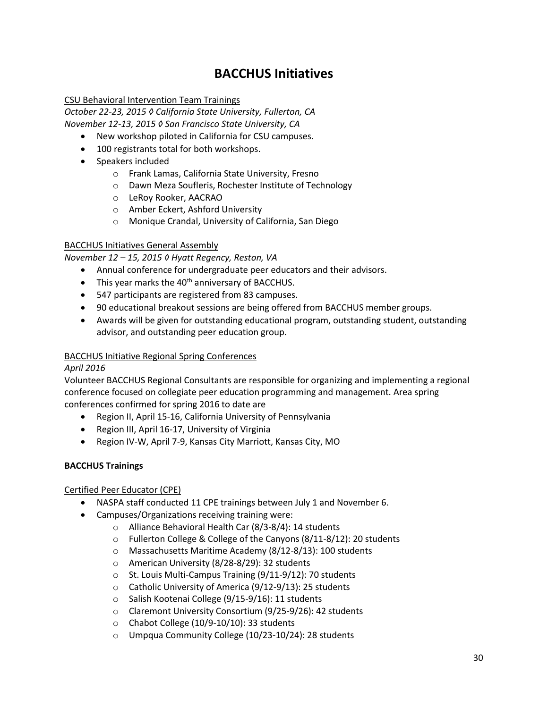## **BACCHUS Initiatives**

#### CSU Behavioral Intervention Team Trainings

*October 22-23, 2015 ◊ California State University, Fullerton, CA November 12-13, 2015 ◊ San Francisco State University, CA*

- New workshop piloted in California for CSU campuses.
- 100 registrants total for both workshops.
- Speakers included
	- o Frank Lamas, California State University, Fresno
	- o Dawn Meza Soufleris, Rochester Institute of Technology
	- o LeRoy Rooker, AACRAO
	- o Amber Eckert, Ashford University
	- o Monique Crandal, University of California, San Diego

#### BACCHUS Initiatives General Assembly

*November 12 – 15, 2015 ◊ Hyatt Regency, Reston, VA*

- Annual conference for undergraduate peer educators and their advisors.
- $\bullet$  This year marks the 40<sup>th</sup> anniversary of BACCHUS.
- 547 participants are registered from 83 campuses.
- 90 educational breakout sessions are being offered from BACCHUS member groups.
- Awards will be given for outstanding educational program, outstanding student, outstanding advisor, and outstanding peer education group.

#### BACCHUS Initiative Regional Spring Conferences

#### *April 2016*

Volunteer BACCHUS Regional Consultants are responsible for organizing and implementing a regional conference focused on collegiate peer education programming and management. Area spring conferences confirmed for spring 2016 to date are

- Region II, April 15-16, California University of Pennsylvania
- Region III, April 16-17, University of Virginia
- Region IV-W, April 7-9, Kansas City Marriott, Kansas City, MO

#### **BACCHUS Trainings**

#### Certified Peer Educator (CPE)

- NASPA staff conducted 11 CPE trainings between July 1 and November 6.
- Campuses/Organizations receiving training were:
	- o Alliance Behavioral Health Car (8/3-8/4): 14 students
	- o Fullerton College & College of the Canyons (8/11-8/12): 20 students
	- o Massachusetts Maritime Academy (8/12-8/13): 100 students
	- o American University (8/28-8/29): 32 students
	- o St. Louis Multi-Campus Training (9/11-9/12): 70 students
	- o Catholic University of America (9/12-9/13): 25 students
	- o Salish Kootenai College (9/15-9/16): 11 students
	- o Claremont University Consortium (9/25-9/26): 42 students
	- o Chabot College (10/9-10/10): 33 students
	- o Umpqua Community College (10/23-10/24): 28 students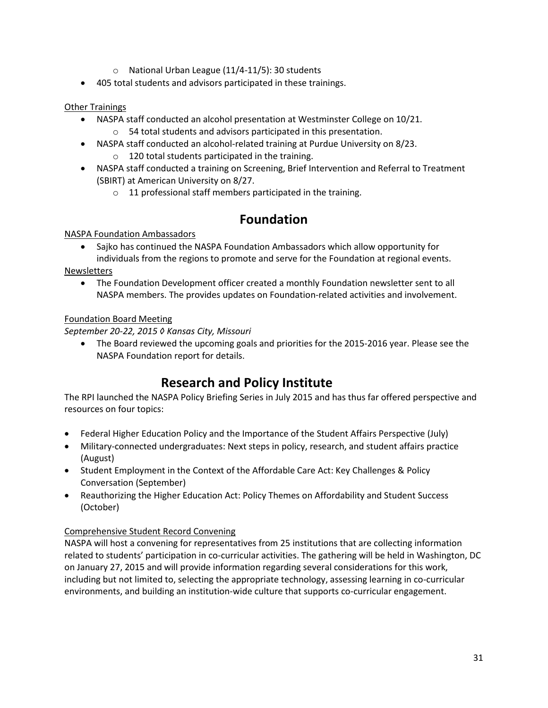- o National Urban League (11/4-11/5): 30 students
- 405 total students and advisors participated in these trainings.

### Other Trainings

- NASPA staff conducted an alcohol presentation at Westminster College on 10/21. o 54 total students and advisors participated in this presentation.
- NASPA staff conducted an alcohol-related training at Purdue University on 8/23. o 120 total students participated in the training.
- NASPA staff conducted a training on Screening, Brief Intervention and Referral to Treatment (SBIRT) at American University on 8/27.
	- o 11 professional staff members participated in the training.

## **Foundation**

### NASPA Foundation Ambassadors

• Sajko has continued the NASPA Foundation Ambassadors which allow opportunity for individuals from the regions to promote and serve for the Foundation at regional events.

Newsletters

 The Foundation Development officer created a monthly Foundation newsletter sent to all NASPA members. The provides updates on Foundation-related activities and involvement.

### Foundation Board Meeting

*September 20-22, 2015 ◊ Kansas City, Missouri*

• The Board reviewed the upcoming goals and priorities for the 2015-2016 year. Please see the NASPA Foundation report for details.

## **Research and Policy Institute**

The RPI launched the NASPA Policy Briefing Series in July 2015 and has thus far offered perspective and resources on four topics:

- Federal Higher Education Policy and the Importance of the Student Affairs Perspective (July)
- Military-connected undergraduates: Next steps in policy, research, and student affairs practice (August)
- Student Employment in the Context of the Affordable Care Act: Key Challenges & Policy Conversation (September)
- Reauthorizing the Higher Education Act: Policy Themes on Affordability and Student Success (October)

### Comprehensive Student Record Convening

NASPA will host a convening for representatives from 25 institutions that are collecting information related to students' participation in co-curricular activities. The gathering will be held in Washington, DC on January 27, 2015 and will provide information regarding several considerations for this work, including but not limited to, selecting the appropriate technology, assessing learning in co-curricular environments, and building an institution-wide culture that supports co-curricular engagement.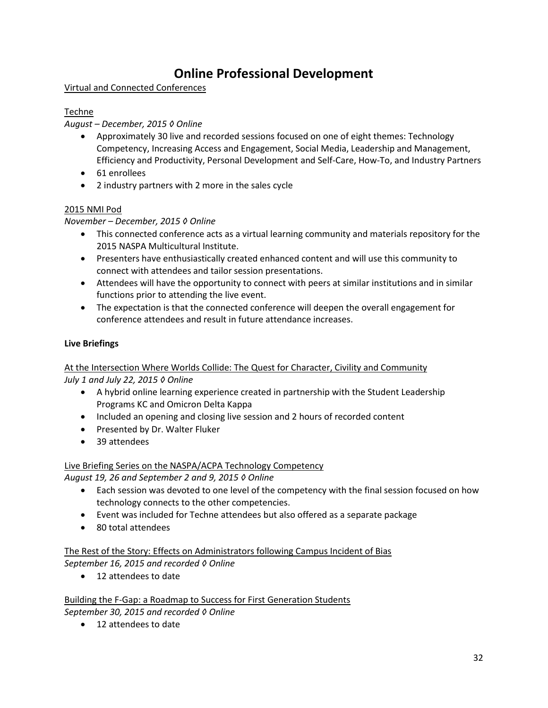# **Online Professional Development**

### Virtual and Connected Conferences

### Techne

### *August – December, 2015 ◊ Online*

- Approximately 30 live and recorded sessions focused on one of eight themes: Technology Competency, Increasing Access and Engagement, Social Media, Leadership and Management, Efficiency and Productivity, Personal Development and Self-Care, How-To, and Industry Partners
- 61 enrollees
- 2 industry partners with 2 more in the sales cycle

### 2015 NMI Pod

### *November – December, 2015 ◊ Online*

- This connected conference acts as a virtual learning community and materials repository for the 2015 NASPA Multicultural Institute.
- Presenters have enthusiastically created enhanced content and will use this community to connect with attendees and tailor session presentations.
- Attendees will have the opportunity to connect with peers at similar institutions and in similar functions prior to attending the live event.
- The expectation is that the connected conference will deepen the overall engagement for conference attendees and result in future attendance increases.

### **Live Briefings**

### At the Intersection Where Worlds Collide: The Quest for Character, Civility and Community *July 1 and July 22, 2015 ◊ Online*

- A hybrid online learning experience created in partnership with the Student Leadership Programs KC and Omicron Delta Kappa
- Included an opening and closing live session and 2 hours of recorded content
- Presented by Dr. Walter Fluker
- 39 attendees

### Live Briefing Series on the NASPA/ACPA Technology Competency

*August 19, 26 and September 2 and 9, 2015 ◊ Online*

- Each session was devoted to one level of the competency with the final session focused on how technology connects to the other competencies.
- Event was included for Techne attendees but also offered as a separate package
- 80 total attendees

The Rest of the Story: Effects on Administrators following Campus Incident of Bias *September 16, 2015 and recorded ◊ Online*

● 12 attendees to date

Building the F-Gap: a Roadmap to Success for First Generation Students *September 30, 2015 and recorded ◊ Online*

● 12 attendees to date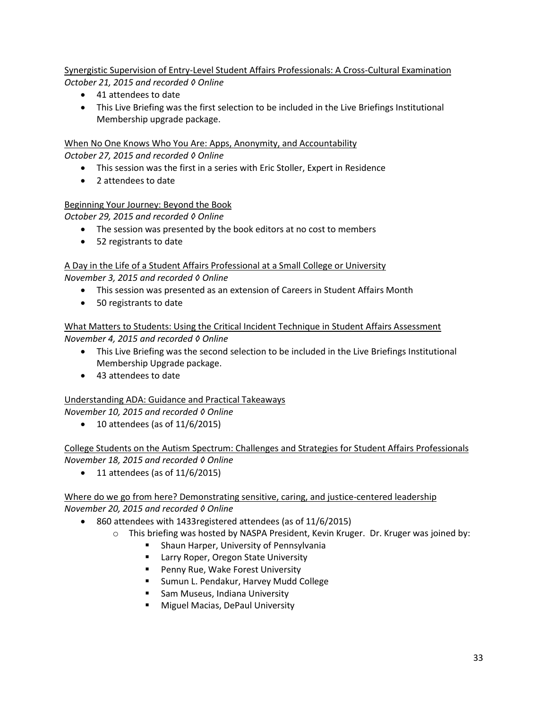Synergistic Supervision of Entry-Level Student Affairs Professionals: A Cross-Cultural Examination *October 21, 2015 and recorded ◊ Online*

- 41 attendees to date
- This Live Briefing was the first selection to be included in the Live Briefings Institutional Membership upgrade package.

When No One Knows Who You Are: Apps, Anonymity, and Accountability *October 27, 2015 and recorded ◊ Online*

- This session was the first in a series with Eric Stoller, Expert in Residence
- 2 attendees to date

#### Beginning Your Journey: Beyond the Book

*October 29, 2015 and recorded ◊ Online*

- The session was presented by the book editors at no cost to members
- 52 registrants to date

#### A Day in the Life of a Student Affairs Professional at a Small College or University *November 3, 2015 and recorded ◊ Online*

- This session was presented as an extension of Careers in Student Affairs Month
- 50 registrants to date

#### What Matters to Students: Using the Critical Incident Technique in Student Affairs Assessment *November 4, 2015 and recorded ◊ Online*

- This Live Briefing was the second selection to be included in the Live Briefings Institutional Membership Upgrade package.
- 43 attendees to date

### Understanding ADA: Guidance and Practical Takeaways

*November 10, 2015 and recorded ◊ Online*

 $\bullet$  10 attendees (as of 11/6/2015)

### College Students on the Autism Spectrum: Challenges and Strategies for Student Affairs Professionals *November 18, 2015 and recorded ◊ Online*

 $\bullet$  11 attendees (as of 11/6/2015)

### Where do we go from here? Demonstrating sensitive, caring, and justice-centered leadership *November 20, 2015 and recorded ◊ Online*

- 860 attendees with 1433registered attendees (as of 11/6/2015)
	- $\circ$  This briefing was hosted by NASPA President, Kevin Kruger. Dr. Kruger was joined by:
		- **E** Shaun Harper, University of Pennsylvania
		- Larry Roper, Oregon State University
		- Penny Rue, Wake Forest University
		- **Sumun L. Pendakur, Harvey Mudd College**
		- **Sam Museus, Indiana University**
		- **Miguel Macias, DePaul University**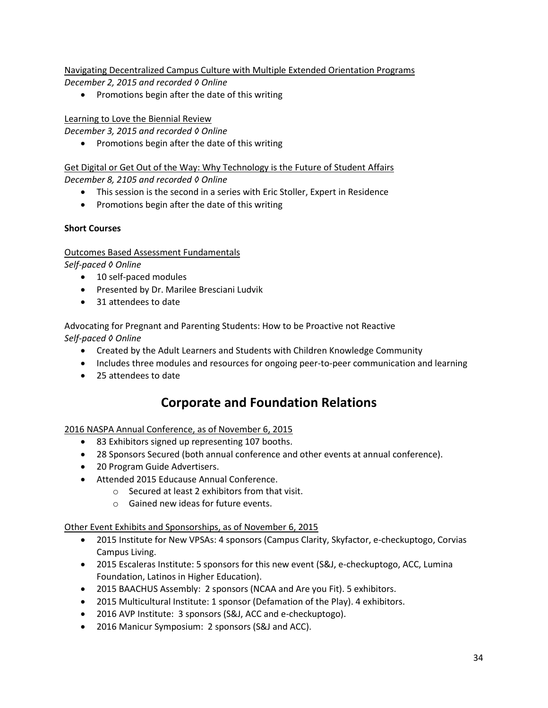Navigating Decentralized Campus Culture with Multiple Extended Orientation Programs *December 2, 2015 and recorded ◊ Online*

• Promotions begin after the date of this writing

### Learning to Love the Biennial Review

*December 3, 2015 and recorded ◊ Online*

• Promotions begin after the date of this writing

Get Digital or Get Out of the Way: Why Technology is the Future of Student Affairs *December 8, 2105 and recorded ◊ Online*

- This session is the second in a series with Eric Stoller, Expert in Residence
- Promotions begin after the date of this writing

### **Short Courses**

Outcomes Based Assessment Fundamentals

*Self-paced ◊ Online*

- 10 self-paced modules
- **•** Presented by Dr. Marilee Bresciani Ludvik
- 31 attendees to date

Advocating for Pregnant and Parenting Students: How to be Proactive not Reactive *Self-paced ◊ Online*

- Created by the Adult Learners and Students with Children Knowledge Community
- Includes three modules and resources for ongoing peer-to-peer communication and learning
- 25 attendees to date

## **Corporate and Foundation Relations**

### 2016 NASPA Annual Conference, as of November 6, 2015

- 83 Exhibitors signed up representing 107 booths.
- 28 Sponsors Secured (both annual conference and other events at annual conference).
- 20 Program Guide Advertisers.
- Attended 2015 Educause Annual Conference.
	- o Secured at least 2 exhibitors from that visit.
	- o Gained new ideas for future events.

Other Event Exhibits and Sponsorships, as of November 6, 2015

- 2015 Institute for New VPSAs: 4 sponsors (Campus Clarity, Skyfactor, e-checkuptogo, Corvias Campus Living.
- 2015 Escaleras Institute: 5 sponsors for this new event (S&J, e-checkuptogo, ACC, Lumina Foundation, Latinos in Higher Education).
- 2015 BAACHUS Assembly: 2 sponsors (NCAA and Are you Fit). 5 exhibitors.
- 2015 Multicultural Institute: 1 sponsor (Defamation of the Play). 4 exhibitors.
- 2016 AVP Institute: 3 sponsors (S&J, ACC and e-checkuptogo).
- 2016 Manicur Symposium: 2 sponsors (S&J and ACC).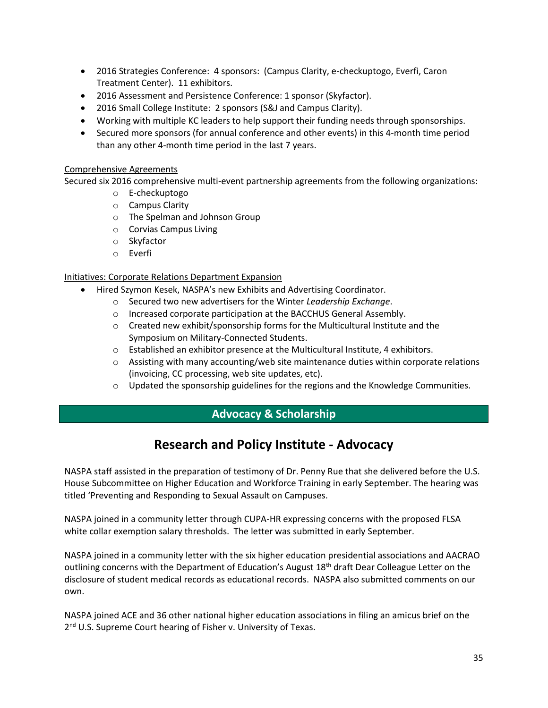- 2016 Strategies Conference: 4 sponsors: (Campus Clarity, e-checkuptogo, Everfi, Caron Treatment Center). 11 exhibitors.
- 2016 Assessment and Persistence Conference: 1 sponsor (Skyfactor).
- 2016 Small College Institute: 2 sponsors (S&J and Campus Clarity).
- Working with multiple KC leaders to help support their funding needs through sponsorships.
- Secured more sponsors (for annual conference and other events) in this 4-month time period than any other 4-month time period in the last 7 years.

#### Comprehensive Agreements

Secured six 2016 comprehensive multi-event partnership agreements from the following organizations:

- o E-checkuptogo
- o Campus Clarity
- o The Spelman and Johnson Group
- o Corvias Campus Living
- o Skyfactor
- o Everfi

#### Initiatives: Corporate Relations Department Expansion

- Hired Szymon Kesek, NASPA's new Exhibits and Advertising Coordinator.
	- o Secured two new advertisers for the Winter *Leadership Exchange*.
	- o Increased corporate participation at the BACCHUS General Assembly.
	- $\circ$  Created new exhibit/sponsorship forms for the Multicultural Institute and the Symposium on Military-Connected Students.
	- $\circ$  Established an exhibitor presence at the Multicultural Institute, 4 exhibitors.
	- o Assisting with many accounting/web site maintenance duties within corporate relations (invoicing, CC processing, web site updates, etc).
	- $\circ$  Updated the sponsorship guidelines for the regions and the Knowledge Communities.

### **Advocacy & Scholarship**

## **Research and Policy Institute - Advocacy**

NASPA staff assisted in the preparation of testimony of Dr. Penny Rue that she delivered before the U.S. House Subcommittee on Higher Education and Workforce Training in early September. The hearing was titled 'Preventing and Responding to Sexual Assault on Campuses.

NASPA joined in a community letter through CUPA-HR expressing concerns with the proposed FLSA white collar exemption salary thresholds. The letter was submitted in early September.

NASPA joined in a community letter with the six higher education presidential associations and AACRAO outlining concerns with the Department of Education's August 18<sup>th</sup> draft Dear Colleague Letter on the disclosure of student medical records as educational records. NASPA also submitted comments on our own.

NASPA joined ACE and 36 other national higher education associations in filing an amicus brief on the 2<sup>nd</sup> U.S. Supreme Court hearing of Fisher v. University of Texas.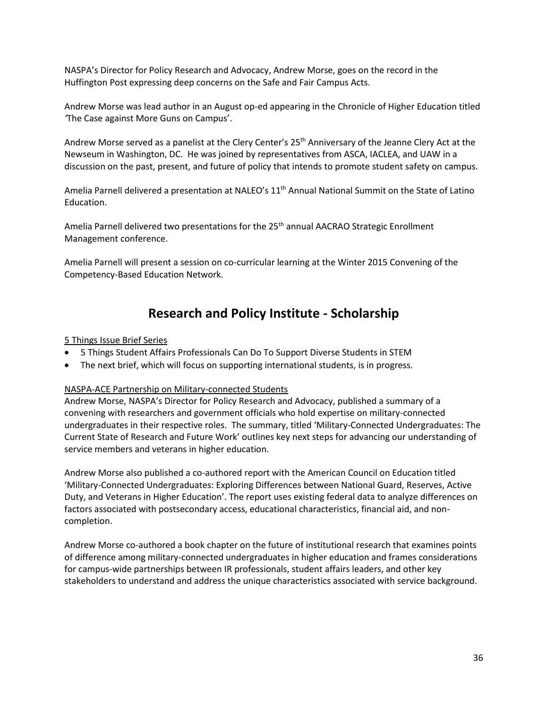NASPA's Director for Policy Research and Advocacy, Andrew Morse, goes on the record in the Huffington Post expressing deep concerns on the Safe and Fair Campus Acts.

Andrew Morse was lead author in an August op-ed appearing in the Chronicle of Higher Education titled *'*The Case against More Guns on Campus'.

Andrew Morse served as a panelist at the Clery Center's 25<sup>th</sup> Anniversary of the Jeanne Clery Act at the Newseum in Washington, DC. He was joined by representatives from ASCA, IACLEA, and UAW in a discussion on the past, present, and future of policy that intends to promote student safety on campus.

Amelia Parnell delivered a presentation at NALEO's 11<sup>th</sup> Annual National Summit on the State of Latino Education.

Amelia Parnell delivered two presentations for the 25<sup>th</sup> annual AACRAO Strategic Enrollment Management conference.

Amelia Parnell will present a session on co-curricular learning at the Winter 2015 Convening of the Competency-Based Education Network.

## **Research and Policy Institute - Scholarship**

#### 5 Things Issue Brief Series

- 5 Things Student Affairs Professionals Can Do To Support Diverse Students in STEM
- The next brief, which will focus on supporting international students, is in progress.

#### NASPA-ACE Partnership on Military-connected Students

Andrew Morse, NASPA's Director for Policy Research and Advocacy, published a summary of a convening with researchers and government officials who hold expertise on military-connected undergraduates in their respective roles. The summary, titled 'Military-Connected Undergraduates: The Current State of Research and Future Work' outlines key next steps for advancing our understanding of service members and veterans in higher education.

Andrew Morse also published a co-authored report with the American Council on Education titled 'Military-Connected Undergraduates: Exploring Differences between National Guard, Reserves, Active Duty, and Veterans in Higher Education'. The report uses existing federal data to analyze differences on factors associated with postsecondary access, educational characteristics, financial aid, and noncompletion.

Andrew Morse co-authored a book chapter on the future of institutional research that examines points of difference among military-connected undergraduates in higher education and frames considerations for campus-wide partnerships between IR professionals, student affairs leaders, and other key stakeholders to understand and address the unique characteristics associated with service background.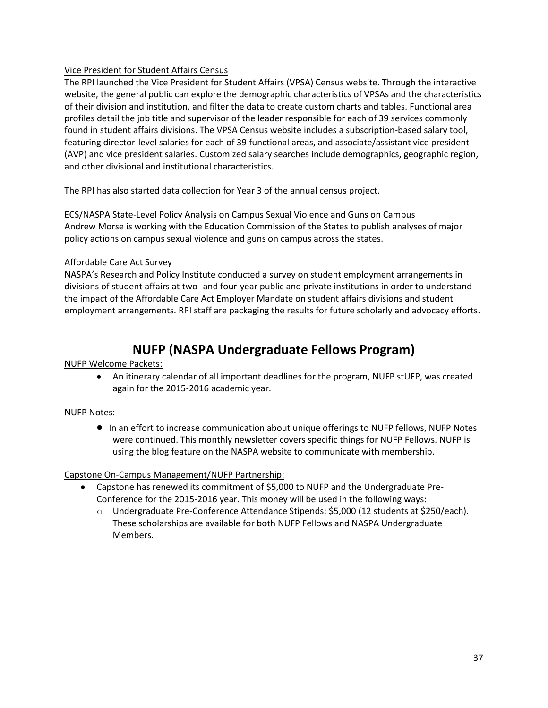#### Vice President for Student Affairs Census

The RPI launched the Vice President for Student Affairs (VPSA) Census website. Through the interactive website, the general public can explore the demographic characteristics of VPSAs and the characteristics of their division and institution, and filter the data to create custom charts and tables. Functional area profiles detail the job title and supervisor of the leader responsible for each of 39 services commonly found in student affairs divisions. The VPSA Census website includes a subscription-based salary tool, featuring director-level salaries for each of 39 functional areas, and associate/assistant vice president (AVP) and vice president salaries. Customized salary searches include demographics, geographic region, and other divisional and institutional characteristics.

The RPI has also started data collection for Year 3 of the annual census project.

#### ECS/NASPA State-Level Policy Analysis on Campus Sexual Violence and Guns on Campus

Andrew Morse is working with the Education Commission of the States to publish analyses of major policy actions on campus sexual violence and guns on campus across the states.

### Affordable Care Act Survey

NASPA's Research and Policy Institute conducted a survey on student employment arrangements in divisions of student affairs at two- and four-year public and private institutions in order to understand the impact of the Affordable Care Act Employer Mandate on student affairs divisions and student employment arrangements. RPI staff are packaging the results for future scholarly and advocacy efforts.

## **NUFP (NASPA Undergraduate Fellows Program)**

NUFP Welcome Packets:

 An itinerary calendar of all important deadlines for the program, NUFP stUFP, was created again for the 2015-2016 academic year.

### NUFP Notes:

**In an effort to increase communication about unique offerings to NUFP fellows, NUFP Notes** were continued. This monthly newsletter covers specific things for NUFP Fellows. NUFP is using the blog feature on the NASPA website to communicate with membership.

Capstone On-Campus Management/NUFP Partnership:

- Capstone has renewed its commitment of \$5,000 to NUFP and the Undergraduate Pre-Conference for the 2015-2016 year. This money will be used in the following ways:
	- o Undergraduate Pre-Conference Attendance Stipends: \$5,000 (12 students at \$250/each). These scholarships are available for both NUFP Fellows and NASPA Undergraduate Members.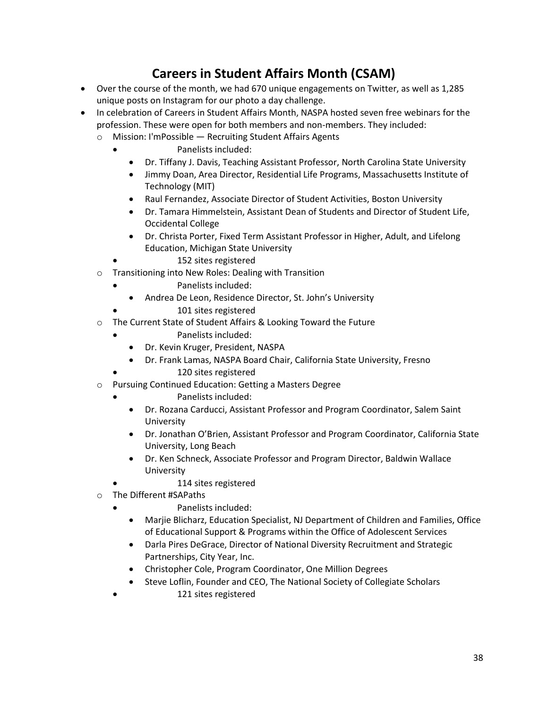# **Careers in Student Affairs Month (CSAM)**

- Over the course of the month, we had 670 unique engagements on Twitter, as well as 1,285 unique posts on Instagram for our photo a day challenge.
- In celebration of Careers in Student Affairs Month, NASPA hosted seven free webinars for the profession. These were open for both members and non-members. They included:
	- o Mission: I'mPossible Recruiting Student Affairs Agents
		- Panelists included:
			- Dr. Tiffany J. Davis, Teaching Assistant Professor, North Carolina State University
			- Jimmy Doan, Area Director, Residential Life Programs, Massachusetts Institute of Technology (MIT)
			- Raul Fernandez, Associate Director of Student Activities, Boston University
			- Dr. Tamara Himmelstein, Assistant Dean of Students and Director of Student Life, Occidental College
			- Dr. Christa Porter, Fixed Term Assistant Professor in Higher, Adult, and Lifelong Education, Michigan State University
				- 152 sites registered
	- o Transitioning into New Roles: Dealing with Transition
		- Panelists included:
		- Andrea De Leon, Residence Director, St. John's University
		- 101 sites registered
	- o The Current State of Student Affairs & Looking Toward the Future
		- Panelists included:
		- Dr. Kevin Kruger, President, NASPA
		- Dr. Frank Lamas, NASPA Board Chair, California State University, Fresno
		- 120 sites registered
	- o Pursuing Continued Education: Getting a Masters Degree
		- Panelists included:
			- Dr. Rozana Carducci, Assistant Professor and Program Coordinator, Salem Saint University
			- Dr. Jonathan O'Brien, Assistant Professor and Program Coordinator, California State University, Long Beach
			- Dr. Ken Schneck, Associate Professor and Program Director, Baldwin Wallace University
				- 114 sites registered
	- o The Different #SAPaths
		- Panelists included:
		- Marjie Blicharz, Education Specialist, NJ Department of Children and Families, Office of Educational Support & Programs within the Office of Adolescent Services
		- Darla Pires DeGrace, Director of National Diversity Recruitment and Strategic Partnerships, City Year, Inc.
		- Christopher Cole, Program Coordinator, One Million Degrees
		- Steve Loflin, Founder and CEO, The National Society of Collegiate Scholars
			- 121 sites registered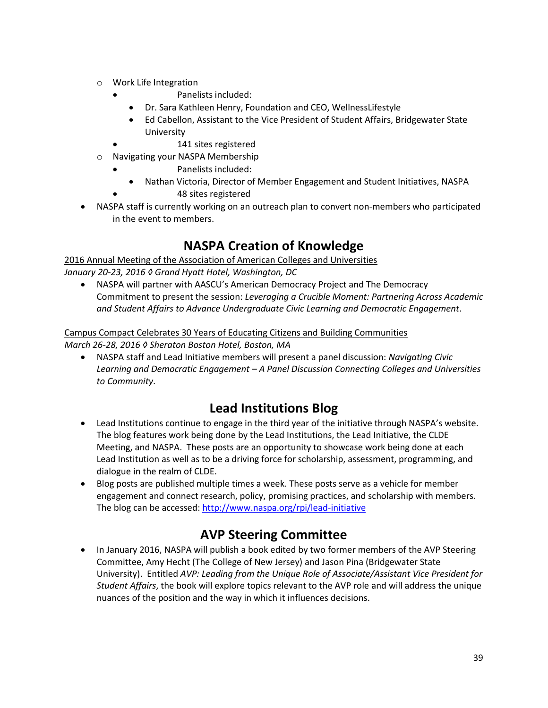- o Work Life Integration
	- Panelists included:
	- Dr. Sara Kathleen Henry, Foundation and CEO, WellnessLifestyle
	- Ed Cabellon, Assistant to the Vice President of Student Affairs, Bridgewater State **University** 
		- 141 sites registered
- o Navigating your NASPA Membership
	- Panelists included:
	- Nathan Victoria, Director of Member Engagement and Student Initiatives, NASPA 48 sites registered
- NASPA staff is currently working on an outreach plan to convert non-members who participated in the event to members.

## **NASPA Creation of Knowledge**

2016 Annual Meeting of the Association of American Colleges and Universities *January 20-23, 2016 ◊ Grand Hyatt Hotel, Washington, DC*

 NASPA will partner with AASCU's American Democracy Project and The Democracy Commitment to present the session: *Leveraging a Crucible Moment: Partnering Across Academic and Student Affairs to Advance Undergraduate Civic Learning and Democratic Engagement*.

### Campus Compact Celebrates 30 Years of Educating Citizens and Building Communities *March 26-28, 2016 ◊ Sheraton Boston Hotel, Boston, MA*

 NASPA staff and Lead Initiative members will present a panel discussion: *Navigating Civic Learning and Democratic Engagement – A Panel Discussion Connecting Colleges and Universities to Community*.

## **Lead Institutions Blog**

- Lead Institutions continue to engage in the third year of the initiative through NASPA's website. The blog features work being done by the Lead Institutions, the Lead Initiative, the CLDE Meeting, and NASPA. These posts are an opportunity to showcase work being done at each Lead Institution as well as to be a driving force for scholarship, assessment, programming, and dialogue in the realm of CLDE.
- Blog posts are published multiple times a week. These posts serve as a vehicle for member engagement and connect research, policy, promising practices, and scholarship with members. The blog can be accessed:<http://www.naspa.org/rpi/lead-initiative>

## **AVP Steering Committee**

 In January 2016, NASPA will publish a book edited by two former members of the AVP Steering Committee, Amy Hecht (The College of New Jersey) and Jason Pina (Bridgewater State University). Entitled *AVP: Leading from the Unique Role of Associate/Assistant Vice President for Student Affairs*, the book will explore topics relevant to the AVP role and will address the unique nuances of the position and the way in which it influences decisions.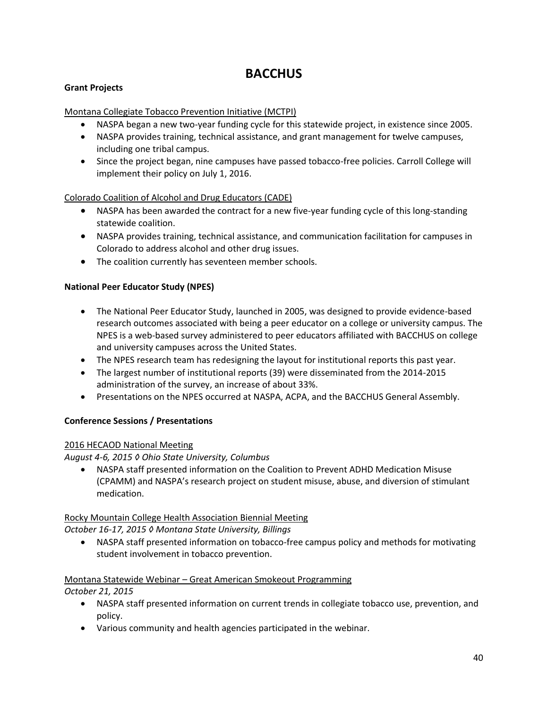## **BACCHUS**

### **Grant Projects**

### Montana Collegiate Tobacco Prevention Initiative (MCTPI)

- NASPA began a new two-year funding cycle for this statewide project, in existence since 2005.
- NASPA provides training, technical assistance, and grant management for twelve campuses, including one tribal campus.
- Since the project began, nine campuses have passed tobacco-free policies. Carroll College will implement their policy on July 1, 2016.

### Colorado Coalition of Alcohol and Drug Educators (CADE)

- NASPA has been awarded the contract for a new five-year funding cycle of this long-standing statewide coalition.
- NASPA provides training, technical assistance, and communication facilitation for campuses in Colorado to address alcohol and other drug issues.
- The coalition currently has seventeen member schools.

### **National Peer Educator Study (NPES)**

- The National Peer Educator Study, launched in 2005, was designed to provide evidence-based research outcomes associated with being a peer educator on a college or university campus. The NPES is a web-based survey administered to peer educators affiliated with BACCHUS on college and university campuses across the United States.
- The NPES research team has redesigning the layout for institutional reports this past year.
- The largest number of institutional reports (39) were disseminated from the 2014-2015 administration of the survey, an increase of about 33%.
- Presentations on the NPES occurred at NASPA, ACPA, and the BACCHUS General Assembly.

### **Conference Sessions / Presentations**

### 2016 HECAOD National Meeting

*August 4-6, 2015 ◊ Ohio State University, Columbus*

 NASPA staff presented information on the Coalition to Prevent ADHD Medication Misuse (CPAMM) and NASPA's research project on student misuse, abuse, and diversion of stimulant medication.

### Rocky Mountain College Health Association Biennial Meeting

*October 16-17, 2015 ◊ Montana State University, Billings*

 NASPA staff presented information on tobacco-free campus policy and methods for motivating student involvement in tobacco prevention.

### Montana Statewide Webinar – Great American Smokeout Programming

*October 21, 2015*

- NASPA staff presented information on current trends in collegiate tobacco use, prevention, and policy.
- Various community and health agencies participated in the webinar.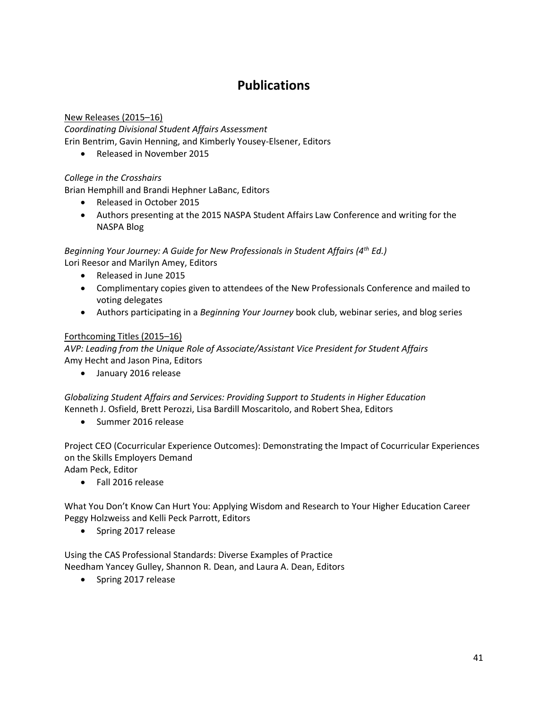# **Publications**

### New Releases (2015–16) *Coordinating Divisional Student Affairs Assessment* Erin Bentrim, Gavin Henning, and Kimberly Yousey-Elsener, Editors

• Released in November 2015

### *College in the Crosshairs*

Brian Hemphill and Brandi Hephner LaBanc, Editors

- Released in October 2015
- Authors presenting at the 2015 NASPA Student Affairs Law Conference and writing for the NASPA Blog

*Beginning Your Journey: A Guide for New Professionals in Student Affairs (4th Ed.)* Lori Reesor and Marilyn Amey, Editors

- Released in June 2015
- Complimentary copies given to attendees of the New Professionals Conference and mailed to voting delegates
- Authors participating in a *Beginning Your Journey* book club, webinar series, and blog series

### Forthcoming Titles (2015–16)

*AVP: Leading from the Unique Role of Associate/Assistant Vice President for Student Affairs*  Amy Hecht and Jason Pina, Editors

January 2016 release

*Globalizing Student Affairs and Services: Providing Support to Students in Higher Education* Kenneth J. Osfield, Brett Perozzi, Lisa Bardill Moscaritolo, and Robert Shea, Editors

• Summer 2016 release

Project CEO (Cocurricular Experience Outcomes): Demonstrating the Impact of Cocurricular Experiences on the Skills Employers Demand

Adam Peck, Editor

Fall 2016 release

What You Don't Know Can Hurt You: Applying Wisdom and Research to Your Higher Education Career Peggy Holzweiss and Kelli Peck Parrott, Editors

• Spring 2017 release

Using the CAS Professional Standards: Diverse Examples of Practice Needham Yancey Gulley, Shannon R. Dean, and Laura A. Dean, Editors

• Spring 2017 release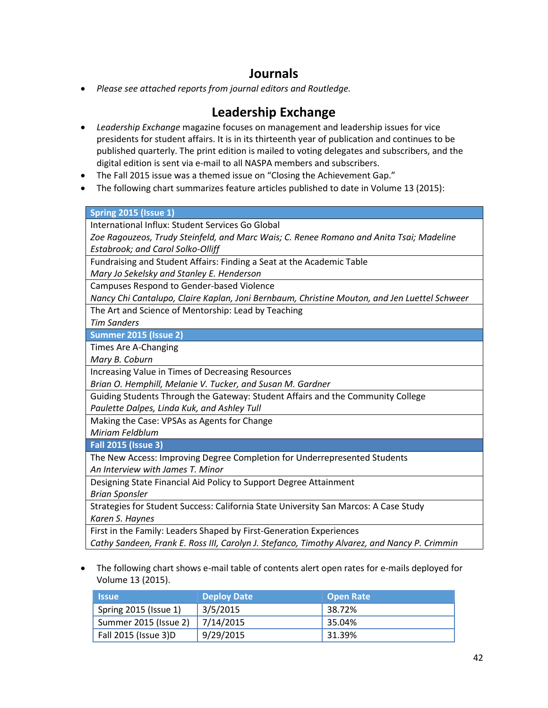## **Journals**

*Please see attached reports from journal editors and Routledge.*

## **Leadership Exchange**

- *Leadership Exchange* magazine focuses on management and leadership issues for vice presidents for student affairs. It is in its thirteenth year of publication and continues to be published quarterly. The print edition is mailed to voting delegates and subscribers, and the digital edition is sent via e-mail to all NASPA members and subscribers.
- The Fall 2015 issue was a themed issue on "Closing the Achievement Gap."
- The following chart summarizes feature articles published to date in Volume 13 (2015):

#### **Spring 2015 (Issue 1)**

International Influx: Student Services Go Global

*Zoe Ragouzeos, Trudy Steinfeld, and Marc Wais; C. Renee Romano and Anita Tsai; Madeline Estabrook; and Carol Solko-Olliff*

Fundraising and Student Affairs: Finding a Seat at the Academic Table

*Mary Jo Sekelsky and Stanley E. Henderson*

Campuses Respond to Gender-based Violence

*Nancy Chi Cantalupo, Claire Kaplan, Joni Bernbaum, Christine Mouton, and Jen Luettel Schweer*

The Art and Science of Mentorship: Lead by Teaching

*Tim Sanders*

**Summer 2015 (Issue 2)**

Times Are A-Changing

*Mary B. Coburn*

Increasing Value in Times of Decreasing Resources

*Brian O. Hemphill, Melanie V. Tucker, and Susan M. Gardner*

Guiding Students Through the Gateway: Student Affairs and the Community College *Paulette Dalpes, Linda Kuk, and Ashley Tull*

Making the Case: VPSAs as Agents for Change

*Miriam Feldblum*

**Fall 2015 (Issue 3)**

The New Access: Improving Degree Completion for Underrepresented Students *An Interview with James T. Minor*

Designing State Financial Aid Policy to Support Degree Attainment *Brian Sponsler*

Strategies for Student Success: California State University San Marcos: A Case Study *Karen S. Haynes*

First in the Family: Leaders Shaped by First-Generation Experiences

*Cathy Sandeen, Frank E. Ross III, Carolyn J. Stefanco, Timothy Alvarez, and Nancy P. Crimmin*

 The following chart shows e-mail table of contents alert open rates for e-mails deployed for Volume 13 (2015).

| <b>Issue</b>                    | <b>Deploy Date</b> | <b>Open Rate</b> |
|---------------------------------|--------------------|------------------|
| Spring 2015 (Issue 1)           | 3/5/2015           | 38.72%           |
| Summer 2015 (Issue 2) 7/14/2015 |                    | 35.04%           |
| Fall 2015 (Issue 3)D            | 9/29/2015          | 31.39%           |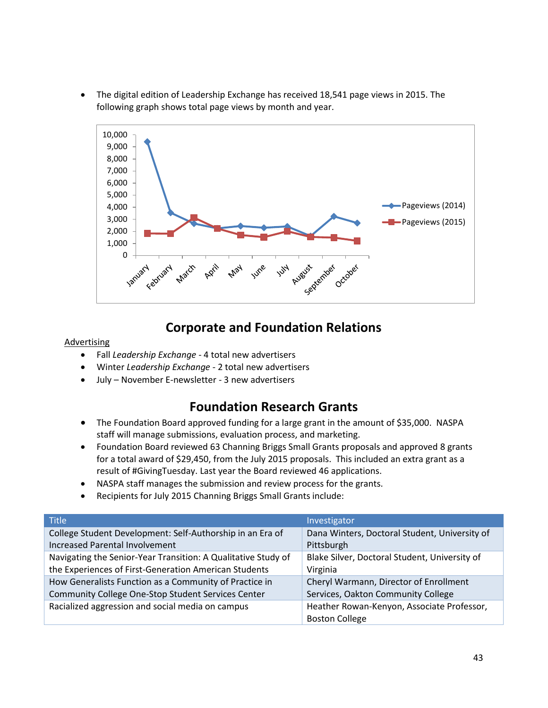The digital edition of Leadership Exchange has received 18,541 page views in 2015. The following graph shows total page views by month and year.



## **Corporate and Foundation Relations**

#### **Advertising**

- Fall *Leadership Exchange* 4 total new advertisers
- Winter *Leadership Exchange* 2 total new advertisers
- July November E-newsletter 3 new advertisers

# **Foundation Research Grants**

- The Foundation Board approved funding for a large grant in the amount of \$35,000. NASPA staff will manage submissions, evaluation process, and marketing.
- Foundation Board reviewed 63 Channing Briggs Small Grants proposals and approved 8 grants for a total award of \$29,450, from the July 2015 proposals. This included an extra grant as a result of #GivingTuesday. Last year the Board reviewed 46 applications.
- NASPA staff manages the submission and review process for the grants.
- Recipients for July 2015 Channing Briggs Small Grants include:

| <b>Title</b>                                                  | Investigator                                                        |
|---------------------------------------------------------------|---------------------------------------------------------------------|
| College Student Development: Self-Authorship in an Era of     | Dana Winters, Doctoral Student, University of                       |
| <b>Increased Parental Involvement</b>                         | Pittsburgh                                                          |
| Navigating the Senior-Year Transition: A Qualitative Study of | Blake Silver, Doctoral Student, University of                       |
| the Experiences of First-Generation American Students         | Virginia                                                            |
| How Generalists Function as a Community of Practice in        | Cheryl Warmann, Director of Enrollment                              |
| Community College One-Stop Student Services Center            | Services, Oakton Community College                                  |
| Racialized aggression and social media on campus              | Heather Rowan-Kenyon, Associate Professor,<br><b>Boston College</b> |